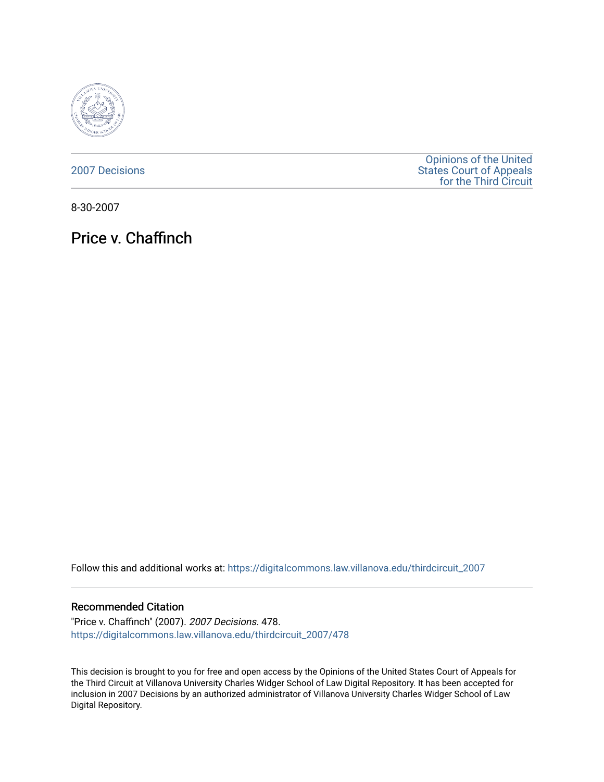

[2007 Decisions](https://digitalcommons.law.villanova.edu/thirdcircuit_2007)

[Opinions of the United](https://digitalcommons.law.villanova.edu/thirdcircuit)  [States Court of Appeals](https://digitalcommons.law.villanova.edu/thirdcircuit)  [for the Third Circuit](https://digitalcommons.law.villanova.edu/thirdcircuit) 

8-30-2007

Price v. Chaffinch

Follow this and additional works at: [https://digitalcommons.law.villanova.edu/thirdcircuit\\_2007](https://digitalcommons.law.villanova.edu/thirdcircuit_2007?utm_source=digitalcommons.law.villanova.edu%2Fthirdcircuit_2007%2F478&utm_medium=PDF&utm_campaign=PDFCoverPages) 

### Recommended Citation

"Price v. Chaffinch" (2007). 2007 Decisions. 478. [https://digitalcommons.law.villanova.edu/thirdcircuit\\_2007/478](https://digitalcommons.law.villanova.edu/thirdcircuit_2007/478?utm_source=digitalcommons.law.villanova.edu%2Fthirdcircuit_2007%2F478&utm_medium=PDF&utm_campaign=PDFCoverPages)

This decision is brought to you for free and open access by the Opinions of the United States Court of Appeals for the Third Circuit at Villanova University Charles Widger School of Law Digital Repository. It has been accepted for inclusion in 2007 Decisions by an authorized administrator of Villanova University Charles Widger School of Law Digital Repository.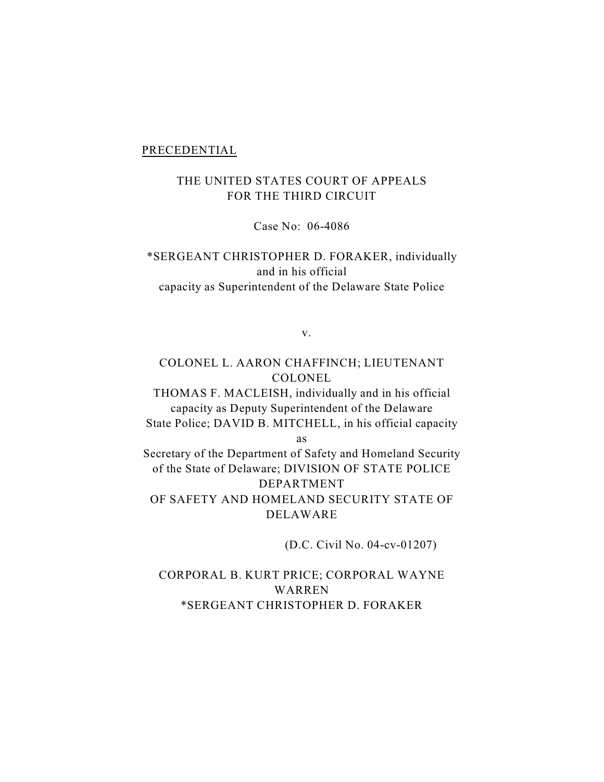#### PRECEDENTIAL

# THE UNITED STATES COURT OF APPEALS FOR THE THIRD CIRCUIT

Case No: 06-4086

\*SERGEANT CHRISTOPHER D. FORAKER, individually and in his official capacity as Superintendent of the Delaware State Police

v.

## COLONEL L. AARON CHAFFINCH; LIEUTENANT COLONEL

THOMAS F. MACLEISH, individually and in his official capacity as Deputy Superintendent of the Delaware State Police; DAVID B. MITCHELL, in his official capacity

as

Secretary of the Department of Safety and Homeland Security of the State of Delaware; DIVISION OF STATE POLICE DEPARTMENT OF SAFETY AND HOMELAND SECURITY STATE OF DELAWARE

(D.C. Civil No. 04-cv-01207)

CORPORAL B. KURT PRICE; CORPORAL WAYNE WARREN \*SERGEANT CHRISTOPHER D. FORAKER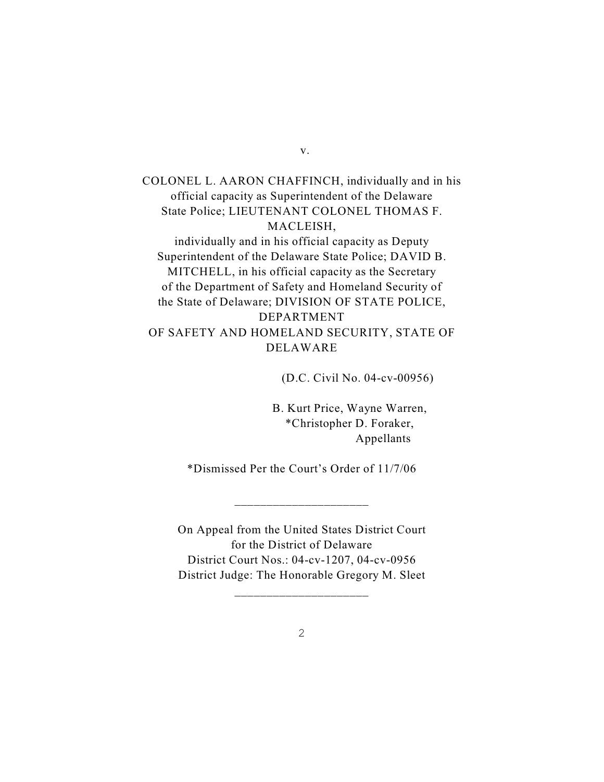COLONEL L. AARON CHAFFINCH, individually and in his official capacity as Superintendent of the Delaware State Police; LIEUTENANT COLONEL THOMAS F. MACLEISH, individually and in his official capacity as Deputy Superintendent of the Delaware State Police; DAVID B. MITCHELL, in his official capacity as the Secretary of the Department of Safety and Homeland Security of the State of Delaware; DIVISION OF STATE POLICE, DEPARTMENT OF SAFETY AND HOMELAND SECURITY, STATE OF DELAWARE

(D.C. Civil No. 04-cv-00956)

 B. Kurt Price, Wayne Warren, \*Christopher D. Foraker, Appellants

\*Dismissed Per the Court's Order of 11/7/06

\_\_\_\_\_\_\_\_\_\_\_\_\_\_\_\_\_\_\_\_\_

On Appeal from the United States District Court for the District of Delaware District Court Nos.: 04-cv-1207, 04-cv-0956 District Judge: The Honorable Gregory M. Sleet

\_\_\_\_\_\_\_\_\_\_\_\_\_\_\_\_\_\_\_\_\_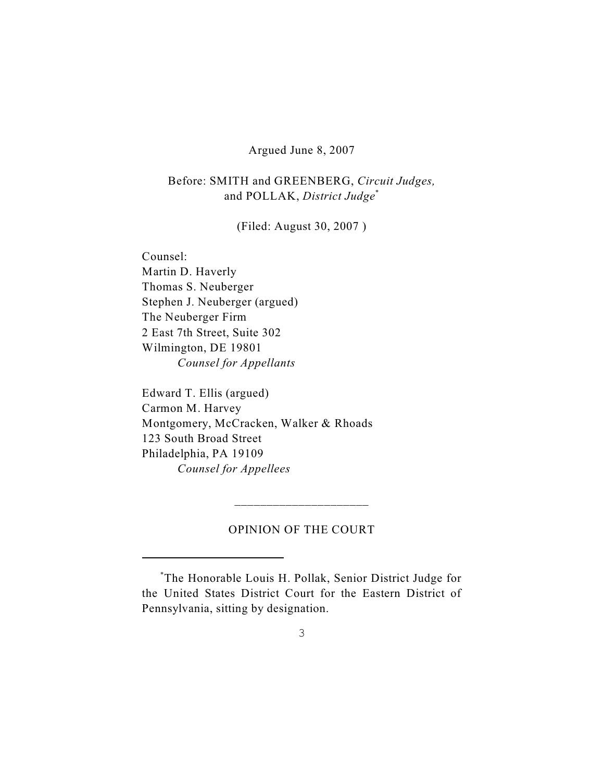### Argued June 8, 2007

Before: SMITH and GREENBERG, *Circuit Judges,* and POLLAK, *District Judge*\*

(Filed: August 30, 2007 )

Counsel: Martin D. Haverly Thomas S. Neuberger Stephen J. Neuberger (argued) The Neuberger Firm 2 East 7th Street, Suite 302 Wilmington, DE 19801 *Counsel for Appellants*

Edward T. Ellis (argued) Carmon M. Harvey Montgomery, McCracken, Walker & Rhoads 123 South Broad Street Philadelphia, PA 19109 *Counsel for Appellees*

## OPINION OF THE COURT

\_\_\_\_\_\_\_\_\_\_\_\_\_\_\_\_\_\_\_\_\_

The Honorable Louis H. Pollak, Senior District Judge for \* the United States District Court for the Eastern District of Pennsylvania, sitting by designation.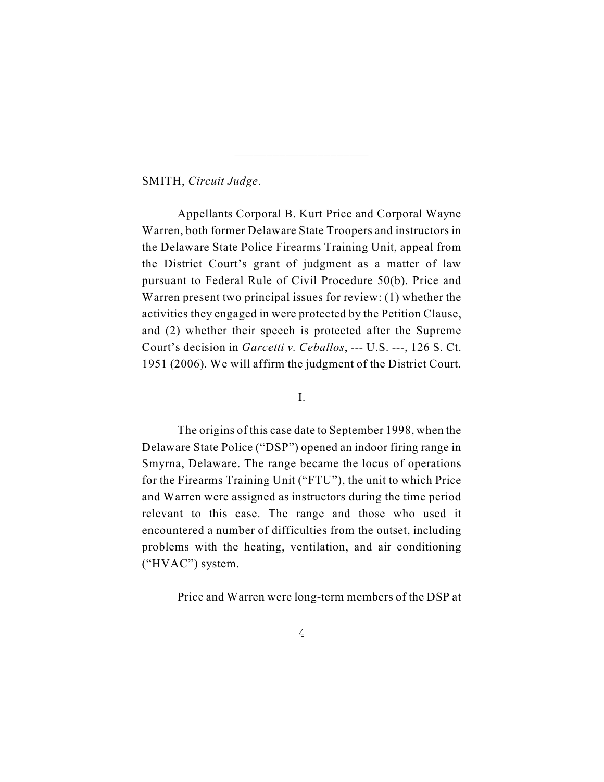SMITH, *Circuit Judge*.

Appellants Corporal B. Kurt Price and Corporal Wayne Warren, both former Delaware State Troopers and instructors in the Delaware State Police Firearms Training Unit, appeal from the District Court's grant of judgment as a matter of law pursuant to Federal Rule of Civil Procedure 50(b). Price and Warren present two principal issues for review: (1) whether the activities they engaged in were protected by the Petition Clause, and (2) whether their speech is protected after the Supreme Court's decision in *Garcetti v. Ceballos*, --- U.S. ---, 126 S. Ct. 1951 (2006). We will affirm the judgment of the District Court.

\_\_\_\_\_\_\_\_\_\_\_\_\_\_\_\_\_\_\_\_\_

I.

The origins of this case date to September 1998, when the Delaware State Police ("DSP") opened an indoor firing range in Smyrna, Delaware. The range became the locus of operations for the Firearms Training Unit ("FTU"), the unit to which Price and Warren were assigned as instructors during the time period relevant to this case. The range and those who used it encountered a number of difficulties from the outset, including problems with the heating, ventilation, and air conditioning ("HVAC") system.

Price and Warren were long-term members of the DSP at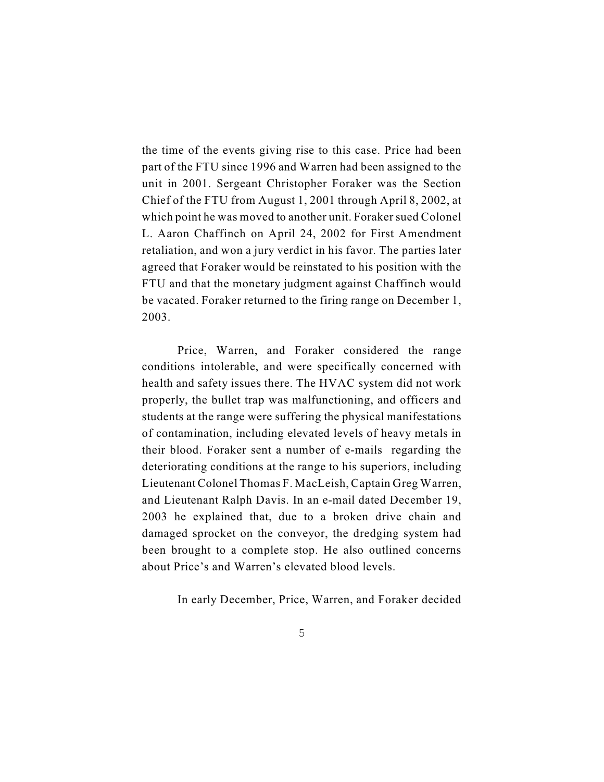the time of the events giving rise to this case. Price had been part of the FTU since 1996 and Warren had been assigned to the unit in 2001. Sergeant Christopher Foraker was the Section Chief of the FTU from August 1, 2001 through April 8, 2002, at which point he was moved to another unit. Foraker sued Colonel L. Aaron Chaffinch on April 24, 2002 for First Amendment retaliation, and won a jury verdict in his favor. The parties later agreed that Foraker would be reinstated to his position with the FTU and that the monetary judgment against Chaffinch would be vacated. Foraker returned to the firing range on December 1, 2003.

Price, Warren, and Foraker considered the range conditions intolerable, and were specifically concerned with health and safety issues there. The HVAC system did not work properly, the bullet trap was malfunctioning, and officers and students at the range were suffering the physical manifestations of contamination, including elevated levels of heavy metals in their blood. Foraker sent a number of e-mails regarding the deteriorating conditions at the range to his superiors, including Lieutenant Colonel Thomas F. MacLeish, Captain Greg Warren, and Lieutenant Ralph Davis. In an e-mail dated December 19, 2003 he explained that, due to a broken drive chain and damaged sprocket on the conveyor, the dredging system had been brought to a complete stop. He also outlined concerns about Price's and Warren's elevated blood levels.

In early December, Price, Warren, and Foraker decided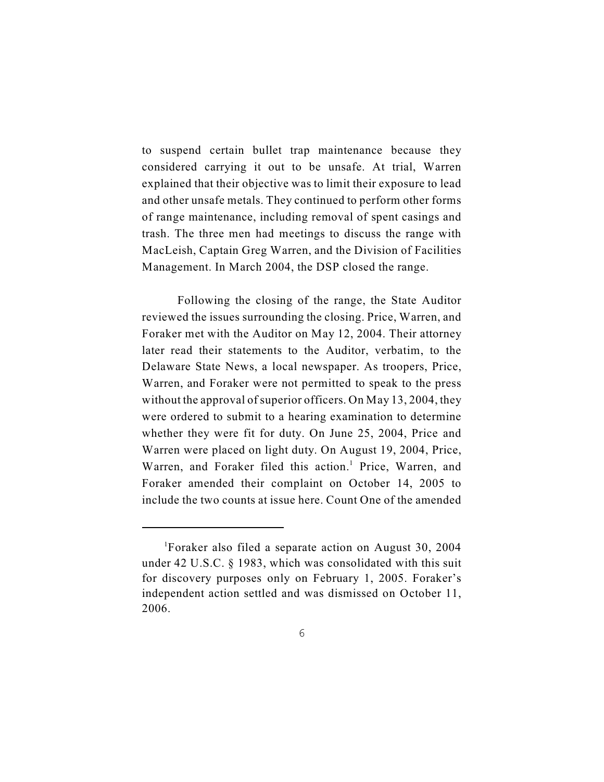to suspend certain bullet trap maintenance because they considered carrying it out to be unsafe. At trial, Warren explained that their objective was to limit their exposure to lead and other unsafe metals. They continued to perform other forms of range maintenance, including removal of spent casings and trash. The three men had meetings to discuss the range with MacLeish, Captain Greg Warren, and the Division of Facilities Management. In March 2004, the DSP closed the range.

Following the closing of the range, the State Auditor reviewed the issues surrounding the closing. Price, Warren, and Foraker met with the Auditor on May 12, 2004. Their attorney later read their statements to the Auditor, verbatim, to the Delaware State News, a local newspaper. As troopers, Price, Warren, and Foraker were not permitted to speak to the press without the approval of superior officers. On May 13, 2004, they were ordered to submit to a hearing examination to determine whether they were fit for duty. On June 25, 2004, Price and Warren were placed on light duty. On August 19, 2004, Price, Warren, and Foraker filed this action.<sup>1</sup> Price, Warren, and Foraker amended their complaint on October 14, 2005 to include the two counts at issue here. Count One of the amended

Foraker also filed a separate action on August 30, 2004 under 42 U.S.C. § 1983, which was consolidated with this suit for discovery purposes only on February 1, 2005. Foraker's independent action settled and was dismissed on October 11, 2006.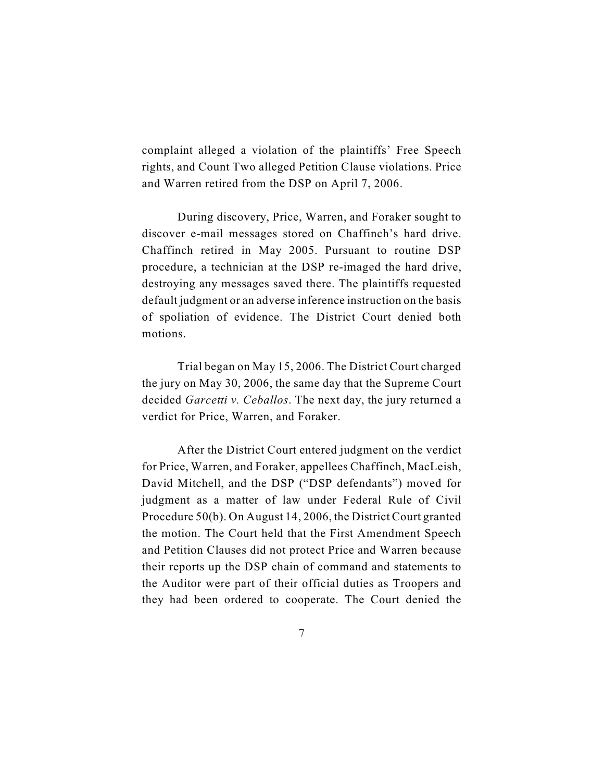complaint alleged a violation of the plaintiffs' Free Speech rights, and Count Two alleged Petition Clause violations. Price and Warren retired from the DSP on April 7, 2006.

During discovery, Price, Warren, and Foraker sought to discover e-mail messages stored on Chaffinch's hard drive. Chaffinch retired in May 2005. Pursuant to routine DSP procedure, a technician at the DSP re-imaged the hard drive, destroying any messages saved there. The plaintiffs requested default judgment or an adverse inference instruction on the basis of spoliation of evidence. The District Court denied both motions.

Trial began on May 15, 2006. The District Court charged the jury on May 30, 2006, the same day that the Supreme Court decided *Garcetti v. Ceballos*. The next day, the jury returned a verdict for Price, Warren, and Foraker.

After the District Court entered judgment on the verdict for Price, Warren, and Foraker, appellees Chaffinch, MacLeish, David Mitchell, and the DSP ("DSP defendants") moved for judgment as a matter of law under Federal Rule of Civil Procedure 50(b). On August 14, 2006, the District Court granted the motion. The Court held that the First Amendment Speech and Petition Clauses did not protect Price and Warren because their reports up the DSP chain of command and statements to the Auditor were part of their official duties as Troopers and they had been ordered to cooperate. The Court denied the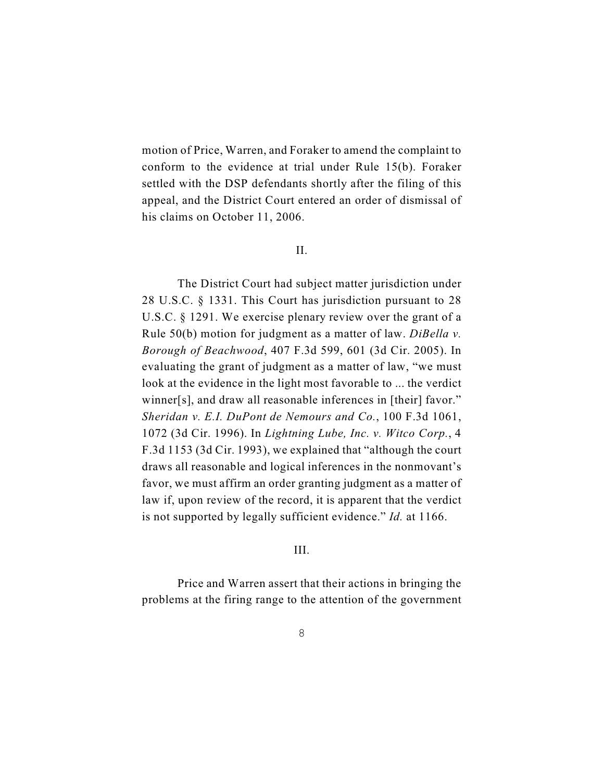motion of Price, Warren, and Foraker to amend the complaint to conform to the evidence at trial under Rule 15(b). Foraker settled with the DSP defendants shortly after the filing of this appeal, and the District Court entered an order of dismissal of his claims on October 11, 2006.

#### II.

The District Court had subject matter jurisdiction under 28 U.S.C. § 1331. This Court has jurisdiction pursuant to 28 U.S.C. § 1291. We exercise plenary review over the grant of a Rule 50(b) motion for judgment as a matter of law. *DiBella v. Borough of Beachwood*, 407 F.3d 599, 601 (3d Cir. 2005). In evaluating the grant of judgment as a matter of law, "we must look at the evidence in the light most favorable to ... the verdict winner[s], and draw all reasonable inferences in [their] favor." *Sheridan v. E.I. DuPont de Nemours and Co.*, 100 F.3d 1061, 1072 (3d Cir. 1996). In *Lightning Lube, Inc. v. Witco Corp.*, 4 F.3d 1153 (3d Cir. 1993), we explained that "although the court draws all reasonable and logical inferences in the nonmovant's favor, we must affirm an order granting judgment as a matter of law if, upon review of the record, it is apparent that the verdict is not supported by legally sufficient evidence." *Id.* at 1166.

#### III.

Price and Warren assert that their actions in bringing the problems at the firing range to the attention of the government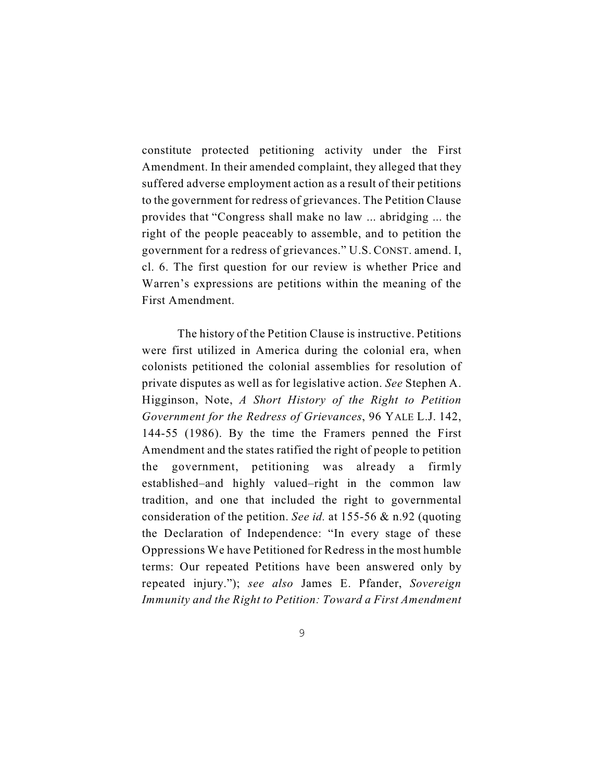constitute protected petitioning activity under the First Amendment. In their amended complaint, they alleged that they suffered adverse employment action as a result of their petitions to the government for redress of grievances. The Petition Clause provides that "Congress shall make no law ... abridging ... the right of the people peaceably to assemble, and to petition the government for a redress of grievances." U.S. CONST. amend. I, cl. 6. The first question for our review is whether Price and Warren's expressions are petitions within the meaning of the First Amendment.

The history of the Petition Clause is instructive. Petitions were first utilized in America during the colonial era, when colonists petitioned the colonial assemblies for resolution of private disputes as well as for legislative action. *See* Stephen A. Higginson, Note, *A Short History of the Right to Petition Government for the Redress of Grievances*, 96 YALE L.J. 142, 144-55 (1986). By the time the Framers penned the First Amendment and the states ratified the right of people to petition the government, petitioning was already a firmly established–and highly valued–right in the common law tradition, and one that included the right to governmental consideration of the petition. *See id.* at 155-56 & n.92 (quoting the Declaration of Independence: "In every stage of these Oppressions We have Petitioned for Redress in the most humble terms: Our repeated Petitions have been answered only by repeated injury."); *see also* James E. Pfander, *Sovereign Immunity and the Right to Petition: Toward a First Amendment*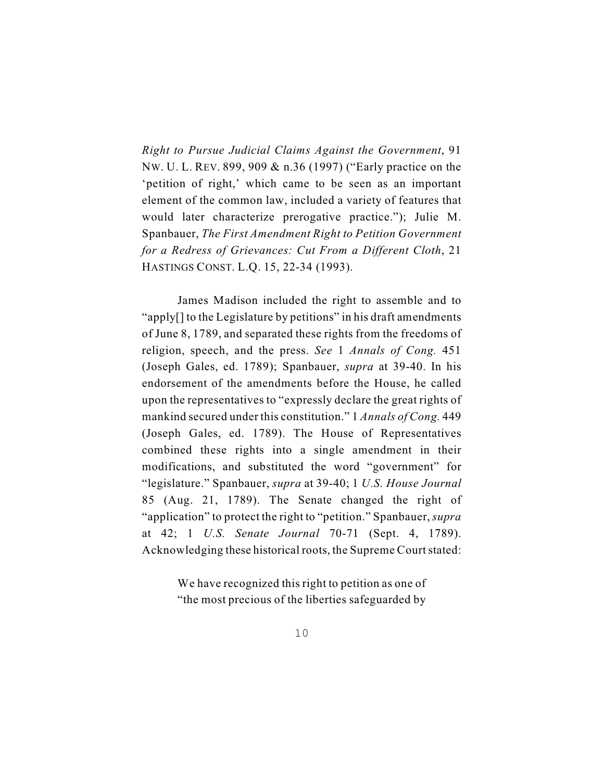*Right to Pursue Judicial Claims Against the Government*, 91 NW. U. L. REV. 899, 909 & n.36 (1997) ("Early practice on the 'petition of right,' which came to be seen as an important element of the common law, included a variety of features that would later characterize prerogative practice."); Julie M. Spanbauer, *The First Amendment Right to Petition Government for a Redress of Grievances: Cut From a Different Cloth*, 21 HASTINGS CONST. L.Q. 15, 22-34 (1993).

James Madison included the right to assemble and to "apply[] to the Legislature by petitions" in his draft amendments of June 8, 1789, and separated these rights from the freedoms of religion, speech, and the press. *See* 1 *Annals of Cong.* 451 (Joseph Gales, ed. 1789); Spanbauer, *supra* at 39-40. In his endorsement of the amendments before the House, he called upon the representatives to "expressly declare the great rights of mankind secured under this constitution." 1 *Annals of Cong.* 449 (Joseph Gales, ed. 1789). The House of Representatives combined these rights into a single amendment in their modifications, and substituted the word "government" for "legislature." Spanbauer, *supra* at 39-40; 1 *U.S. House Journal* 85 (Aug. 21, 1789). The Senate changed the right of "application" to protect the right to "petition." Spanbauer, *supra* at 42; 1 *U.S. Senate Journal* 70-71 (Sept. 4, 1789). Acknowledging these historical roots, the Supreme Court stated:

> We have recognized this right to petition as one of "the most precious of the liberties safeguarded by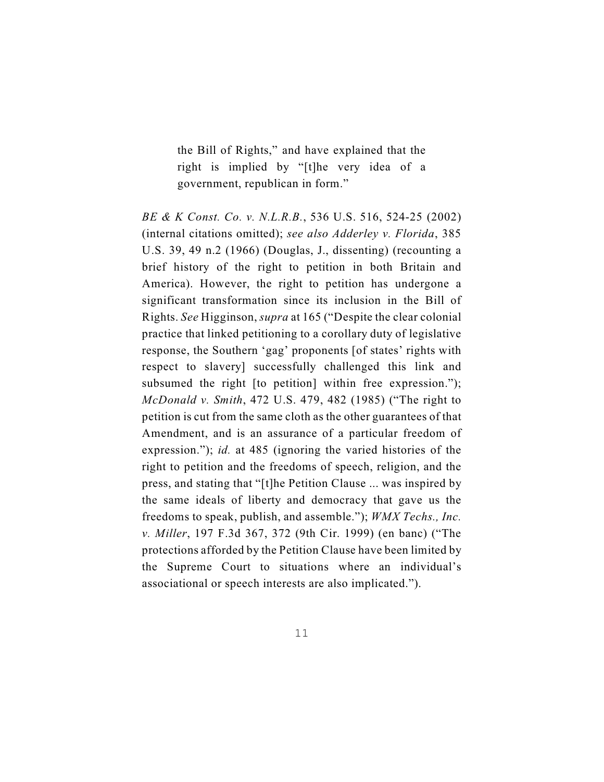the Bill of Rights," and have explained that the right is implied by "[t]he very idea of a government, republican in form."

*BE & K Const. Co. v. N.L.R.B.*, 536 U.S. 516, 524-25 (2002) (internal citations omitted); *see also Adderley v. Florida*, 385 U.S. 39, 49 n.2 (1966) (Douglas, J., dissenting) (recounting a brief history of the right to petition in both Britain and America). However, the right to petition has undergone a significant transformation since its inclusion in the Bill of Rights. *See* Higginson, *supra* at 165 ("Despite the clear colonial practice that linked petitioning to a corollary duty of legislative response, the Southern 'gag' proponents [of states' rights with respect to slavery] successfully challenged this link and subsumed the right [to petition] within free expression."); *McDonald v. Smith*, 472 U.S. 479, 482 (1985) ("The right to petition is cut from the same cloth as the other guarantees of that Amendment, and is an assurance of a particular freedom of expression."); *id.* at 485 (ignoring the varied histories of the right to petition and the freedoms of speech, religion, and the press, and stating that "[t]he Petition Clause ... was inspired by the same ideals of liberty and democracy that gave us the freedoms to speak, publish, and assemble."); *WMX Techs., Inc. v. Miller*, 197 F.3d 367, 372 (9th Cir. 1999) (en banc) ("The protections afforded by the Petition Clause have been limited by the Supreme Court to situations where an individual's associational or speech interests are also implicated.").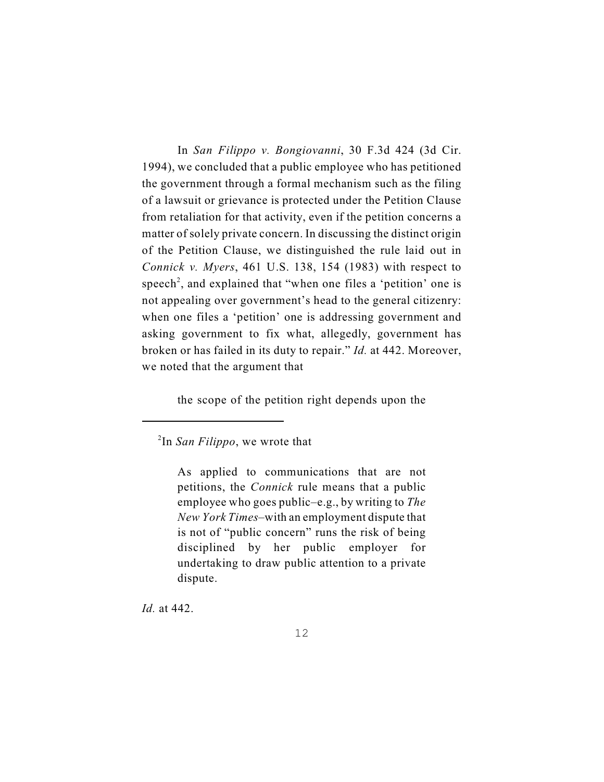In *San Filippo v. Bongiovanni*, 30 F.3d 424 (3d Cir. 1994), we concluded that a public employee who has petitioned the government through a formal mechanism such as the filing of a lawsuit or grievance is protected under the Petition Clause from retaliation for that activity, even if the petition concerns a matter of solely private concern. In discussing the distinct origin of the Petition Clause, we distinguished the rule laid out in *Connick v. Myers*, 461 U.S. 138, 154 (1983) with respect to speech<sup>2</sup>, and explained that "when one files a 'petition' one is not appealing over government's head to the general citizenry: when one files a 'petition' one is addressing government and asking government to fix what, allegedly, government has broken or has failed in its duty to repair." *Id.* at 442. Moreover, we noted that the argument that

the scope of the petition right depends upon the

*Id.* at 442.

 $2$ In *San Filippo*, we wrote that

As applied to communications that are not petitions, the *Connick* rule means that a public employee who goes public–e.g., by writing to *The New York Times*–with an employment dispute that is not of "public concern" runs the risk of being disciplined by her public employer for undertaking to draw public attention to a private dispute.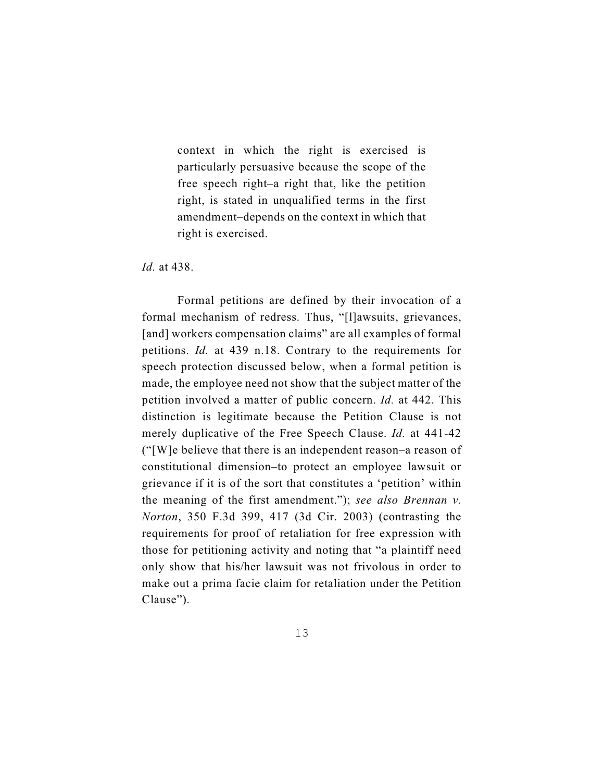context in which the right is exercised is particularly persuasive because the scope of the free speech right–a right that, like the petition right, is stated in unqualified terms in the first amendment–depends on the context in which that right is exercised.

*Id.* at 438.

Formal petitions are defined by their invocation of a formal mechanism of redress. Thus, "[l]awsuits, grievances, [and] workers compensation claims" are all examples of formal petitions. *Id.* at 439 n.18. Contrary to the requirements for speech protection discussed below, when a formal petition is made, the employee need not show that the subject matter of the petition involved a matter of public concern. *Id.* at 442. This distinction is legitimate because the Petition Clause is not merely duplicative of the Free Speech Clause. *Id.* at 441-42 ("[W]e believe that there is an independent reason–a reason of constitutional dimension–to protect an employee lawsuit or grievance if it is of the sort that constitutes a 'petition' within the meaning of the first amendment."); *see also Brennan v. Norton*, 350 F.3d 399, 417 (3d Cir. 2003) (contrasting the requirements for proof of retaliation for free expression with those for petitioning activity and noting that "a plaintiff need only show that his/her lawsuit was not frivolous in order to make out a prima facie claim for retaliation under the Petition Clause").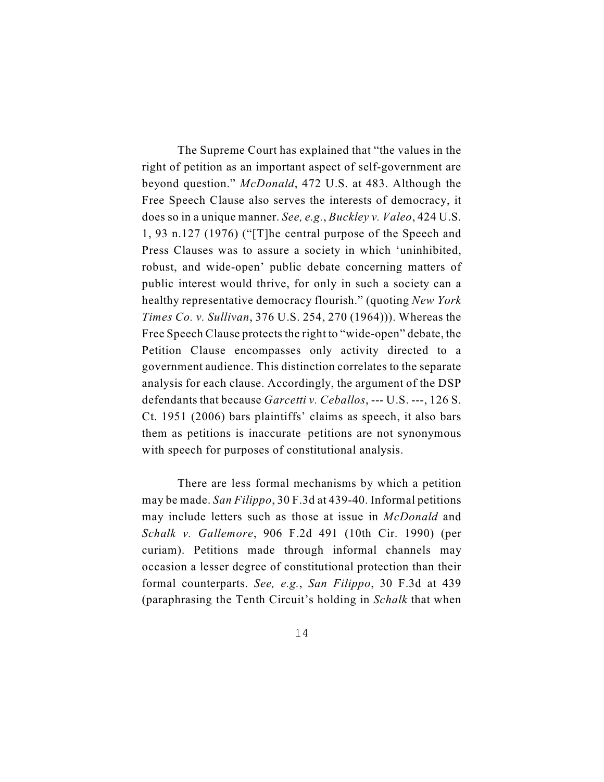The Supreme Court has explained that "the values in the right of petition as an important aspect of self-government are beyond question." *McDonald*, 472 U.S. at 483. Although the Free Speech Clause also serves the interests of democracy, it does so in a unique manner. *See, e.g.*, *Buckley v. Valeo*, 424 U.S. 1, 93 n.127 (1976) ("[T]he central purpose of the Speech and Press Clauses was to assure a society in which 'uninhibited, robust, and wide-open' public debate concerning matters of public interest would thrive, for only in such a society can a healthy representative democracy flourish." (quoting *New York Times Co. v. Sullivan*, 376 U.S. 254, 270 (1964))). Whereas the Free Speech Clause protects the right to "wide-open" debate, the Petition Clause encompasses only activity directed to a government audience. This distinction correlates to the separate analysis for each clause. Accordingly, the argument of the DSP defendants that because *Garcetti v. Ceballos*, --- U.S. ---, 126 S. Ct. 1951 (2006) bars plaintiffs' claims as speech, it also bars them as petitions is inaccurate–petitions are not synonymous with speech for purposes of constitutional analysis.

There are less formal mechanisms by which a petition may be made. *San Filippo*, 30 F.3d at 439-40. Informal petitions may include letters such as those at issue in *McDonald* and *Schalk v. Gallemore*, 906 F.2d 491 (10th Cir. 1990) (per curiam). Petitions made through informal channels may occasion a lesser degree of constitutional protection than their formal counterparts. *See, e.g.*, *San Filippo*, 30 F.3d at 439 (paraphrasing the Tenth Circuit's holding in *Schalk* that when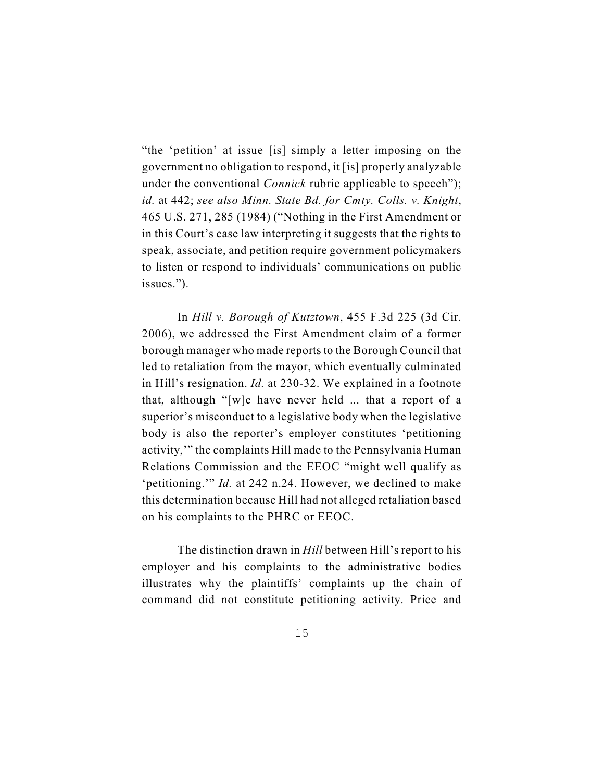"the 'petition' at issue [is] simply a letter imposing on the government no obligation to respond, it [is] properly analyzable under the conventional *Connick* rubric applicable to speech"); *id.* at 442; *see also Minn. State Bd. for Cmty. Colls. v. Knight*, 465 U.S. 271, 285 (1984) ("Nothing in the First Amendment or in this Court's case law interpreting it suggests that the rights to speak, associate, and petition require government policymakers to listen or respond to individuals' communications on public issues.").

In *Hill v. Borough of Kutztown*, 455 F.3d 225 (3d Cir. 2006), we addressed the First Amendment claim of a former borough manager who made reports to the Borough Council that led to retaliation from the mayor, which eventually culminated in Hill's resignation. *Id.* at 230-32. We explained in a footnote that, although "[w]e have never held ... that a report of a superior's misconduct to a legislative body when the legislative body is also the reporter's employer constitutes 'petitioning activity,'" the complaints Hill made to the Pennsylvania Human Relations Commission and the EEOC "might well qualify as 'petitioning.'" *Id.* at 242 n.24. However, we declined to make this determination because Hill had not alleged retaliation based on his complaints to the PHRC or EEOC.

The distinction drawn in *Hill* between Hill's report to his employer and his complaints to the administrative bodies illustrates why the plaintiffs' complaints up the chain of command did not constitute petitioning activity. Price and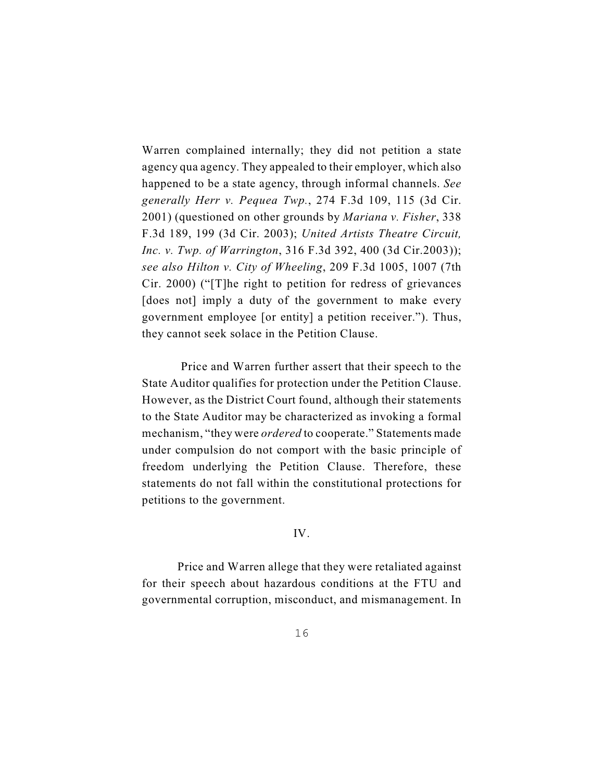Warren complained internally; they did not petition a state agency qua agency. They appealed to their employer, which also happened to be a state agency, through informal channels. *See generally Herr v. Pequea Twp.*, 274 F.3d 109, 115 (3d Cir. 2001) (questioned on other grounds by *Mariana v. Fisher*, 338 F.3d 189, 199 (3d Cir. 2003); *United Artists Theatre Circuit, Inc. v. Twp. of Warrington*, 316 F.3d 392, 400 (3d Cir.2003)); *see also Hilton v. City of Wheeling*, 209 F.3d 1005, 1007 (7th Cir. 2000) ("[T]he right to petition for redress of grievances [does not] imply a duty of the government to make every government employee [or entity] a petition receiver."). Thus, they cannot seek solace in the Petition Clause.

 Price and Warren further assert that their speech to the State Auditor qualifies for protection under the Petition Clause. However, as the District Court found, although their statements to the State Auditor may be characterized as invoking a formal mechanism, "they were *ordered* to cooperate." Statements made under compulsion do not comport with the basic principle of freedom underlying the Petition Clause. Therefore, these statements do not fall within the constitutional protections for petitions to the government.

## IV.

Price and Warren allege that they were retaliated against for their speech about hazardous conditions at the FTU and governmental corruption, misconduct, and mismanagement. In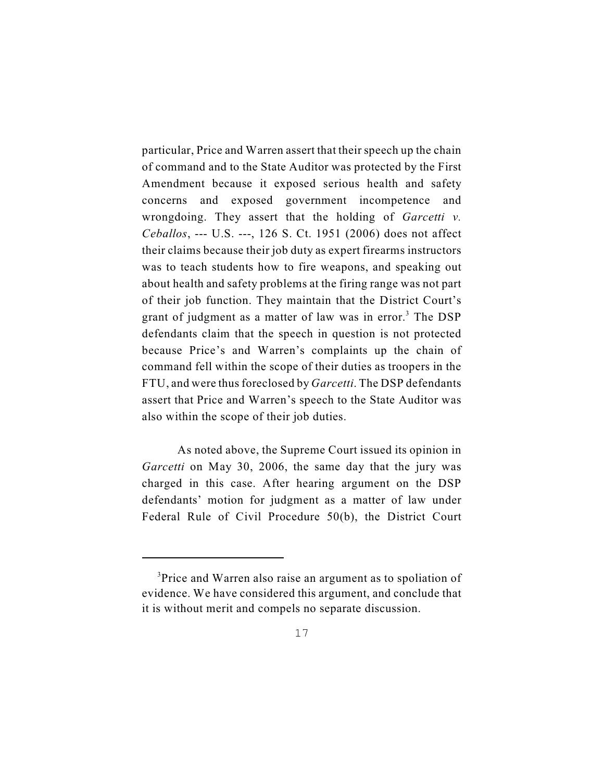particular, Price and Warren assert that their speech up the chain of command and to the State Auditor was protected by the First Amendment because it exposed serious health and safety concerns and exposed government incompetence and wrongdoing. They assert that the holding of *Garcetti v. Ceballos*, --- U.S. ---, 126 S. Ct. 1951 (2006) does not affect their claims because their job duty as expert firearms instructors was to teach students how to fire weapons, and speaking out about health and safety problems at the firing range was not part of their job function. They maintain that the District Court's grant of judgment as a matter of law was in error.<sup>3</sup> The DSP defendants claim that the speech in question is not protected because Price's and Warren's complaints up the chain of command fell within the scope of their duties as troopers in the FTU, and were thusforeclosed by *Garcetti*. The DSP defendants assert that Price and Warren's speech to the State Auditor was also within the scope of their job duties.

As noted above, the Supreme Court issued its opinion in *Garcetti* on May 30, 2006, the same day that the jury was charged in this case. After hearing argument on the DSP defendants' motion for judgment as a matter of law under Federal Rule of Civil Procedure 50(b), the District Court

 $3$ Price and Warren also raise an argument as to spoliation of evidence. We have considered this argument, and conclude that it is without merit and compels no separate discussion.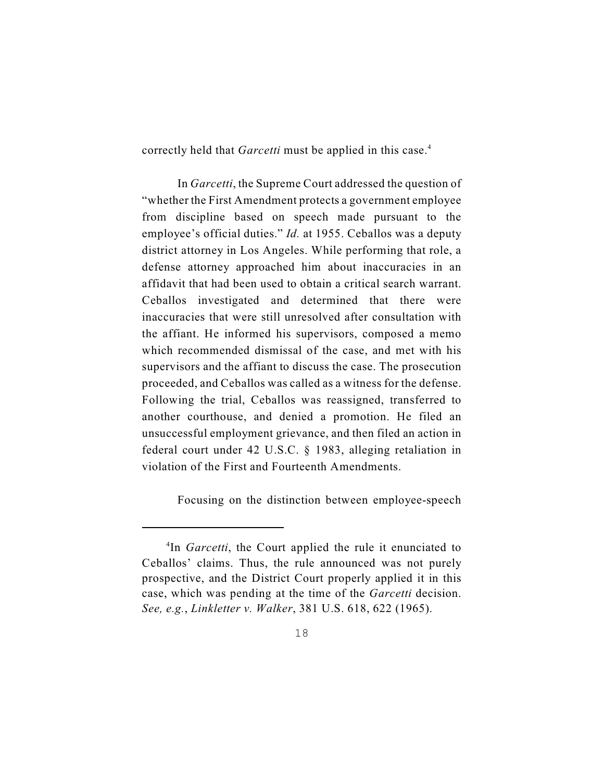correctly held that *Garcetti* must be applied in this case.<sup>4</sup>

In *Garcetti*, the Supreme Court addressed the question of "whether the First Amendment protects a government employee from discipline based on speech made pursuant to the employee's official duties." *Id.* at 1955. Ceballos was a deputy district attorney in Los Angeles. While performing that role, a defense attorney approached him about inaccuracies in an affidavit that had been used to obtain a critical search warrant. Ceballos investigated and determined that there were inaccuracies that were still unresolved after consultation with the affiant. He informed his supervisors, composed a memo which recommended dismissal of the case, and met with his supervisors and the affiant to discuss the case. The prosecution proceeded, and Ceballos was called as a witness for the defense. Following the trial, Ceballos was reassigned, transferred to another courthouse, and denied a promotion. He filed an unsuccessful employment grievance, and then filed an action in federal court under 42 U.S.C. § 1983, alleging retaliation in violation of the First and Fourteenth Amendments.

Focusing on the distinction between employee-speech

<sup>&</sup>lt;sup>4</sup>In *Garcetti*, the Court applied the rule it enunciated to Ceballos' claims. Thus, the rule announced was not purely prospective, and the District Court properly applied it in this case, which was pending at the time of the *Garcetti* decision. *See, e.g.*, *Linkletter v. Walker*, 381 U.S. 618, 622 (1965).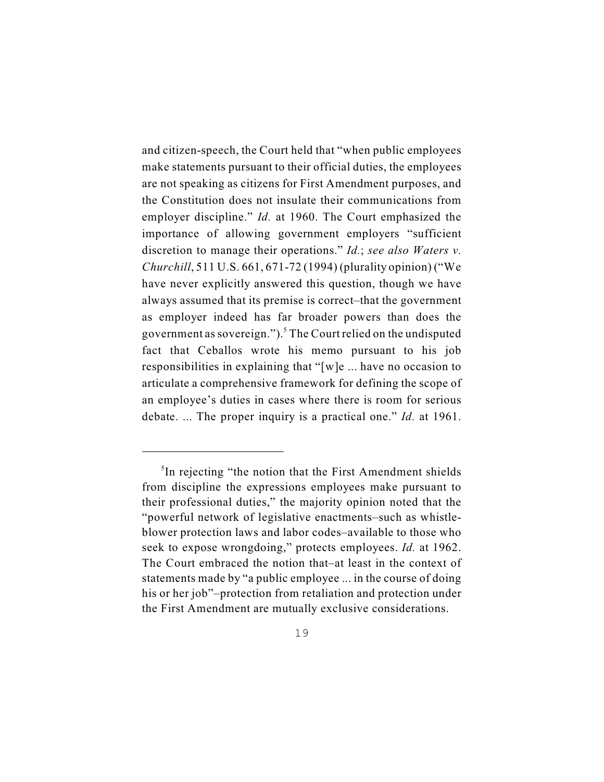and citizen-speech, the Court held that "when public employees make statements pursuant to their official duties, the employees are not speaking as citizens for First Amendment purposes, and the Constitution does not insulate their communications from employer discipline." *Id.* at 1960. The Court emphasized the importance of allowing government employers "sufficient discretion to manage their operations." *Id.*; *see also Waters v. Churchill*, 511 U.S. 661, 671-72 (1994) (plurality opinion) ("We have never explicitly answered this question, though we have always assumed that its premise is correct–that the government as employer indeed has far broader powers than does the government as sovereign.").<sup>5</sup> The Court relied on the undisputed fact that Ceballos wrote his memo pursuant to his job responsibilities in explaining that "[w]e ... have no occasion to articulate a comprehensive framework for defining the scope of an employee's duties in cases where there is room for serious debate. ... The proper inquiry is a practical one." *Id.* at 1961.

 ${}^{5}$ In rejecting "the notion that the First Amendment shields from discipline the expressions employees make pursuant to their professional duties," the majority opinion noted that the "powerful network of legislative enactments–such as whistleblower protection laws and labor codes–available to those who seek to expose wrongdoing," protects employees. *Id.* at 1962. The Court embraced the notion that–at least in the context of statements made by "a public employee ... in the course of doing his or her job"–protection from retaliation and protection under the First Amendment are mutually exclusive considerations.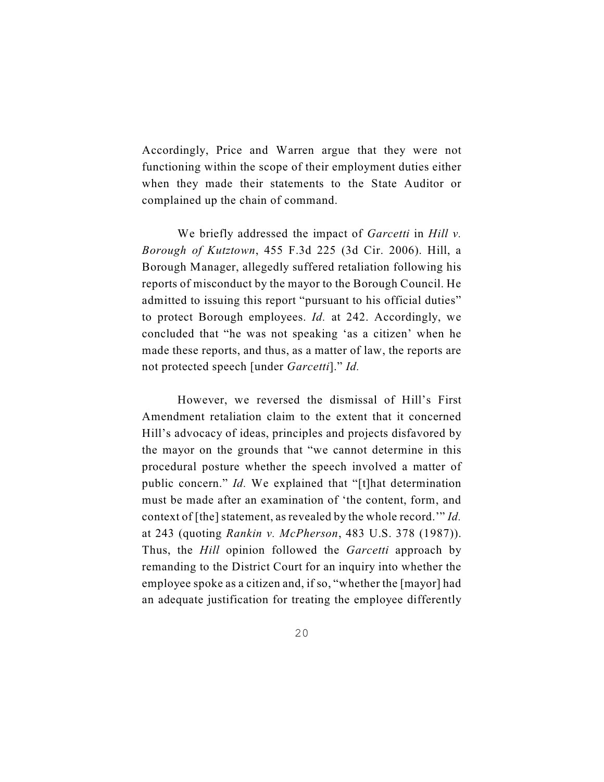Accordingly, Price and Warren argue that they were not functioning within the scope of their employment duties either when they made their statements to the State Auditor or complained up the chain of command.

We briefly addressed the impact of *Garcetti* in *Hill v. Borough of Kutztown*, 455 F.3d 225 (3d Cir. 2006). Hill, a Borough Manager, allegedly suffered retaliation following his reports of misconduct by the mayor to the Borough Council. He admitted to issuing this report "pursuant to his official duties" to protect Borough employees. *Id.* at 242. Accordingly, we concluded that "he was not speaking 'as a citizen' when he made these reports, and thus, as a matter of law, the reports are not protected speech [under *Garcetti*]." *Id.*

However, we reversed the dismissal of Hill's First Amendment retaliation claim to the extent that it concerned Hill's advocacy of ideas, principles and projects disfavored by the mayor on the grounds that "we cannot determine in this procedural posture whether the speech involved a matter of public concern." *Id.* We explained that "[t]hat determination must be made after an examination of 'the content, form, and context of [the] statement, as revealed by the whole record.'" *Id.* at 243 (quoting *Rankin v. McPherson*, 483 U.S. 378 (1987)). Thus, the *Hill* opinion followed the *Garcetti* approach by remanding to the District Court for an inquiry into whether the employee spoke as a citizen and, if so, "whether the [mayor] had an adequate justification for treating the employee differently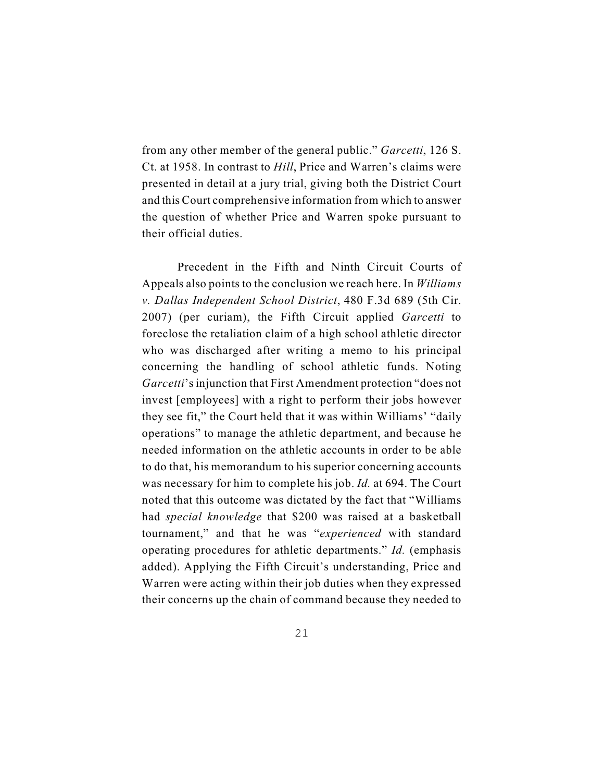from any other member of the general public." *Garcetti*, 126 S. Ct. at 1958. In contrast to *Hill*, Price and Warren's claims were presented in detail at a jury trial, giving both the District Court and this Court comprehensive information from which to answer the question of whether Price and Warren spoke pursuant to their official duties.

Precedent in the Fifth and Ninth Circuit Courts of Appeals also points to the conclusion we reach here. In *Williams v. Dallas Independent School District*, 480 F.3d 689 (5th Cir. 2007) (per curiam), the Fifth Circuit applied *Garcetti* to foreclose the retaliation claim of a high school athletic director who was discharged after writing a memo to his principal concerning the handling of school athletic funds. Noting *Garcetti*'s injunction that First Amendment protection "does not invest [employees] with a right to perform their jobs however they see fit," the Court held that it was within Williams' "daily operations" to manage the athletic department, and because he needed information on the athletic accounts in order to be able to do that, his memorandum to his superior concerning accounts was necessary for him to complete his job. *Id.* at 694. The Court noted that this outcome was dictated by the fact that "Williams had *special knowledge* that \$200 was raised at a basketball tournament," and that he was "*experienced* with standard operating procedures for athletic departments." *Id.* (emphasis added). Applying the Fifth Circuit's understanding, Price and Warren were acting within their job duties when they expressed their concerns up the chain of command because they needed to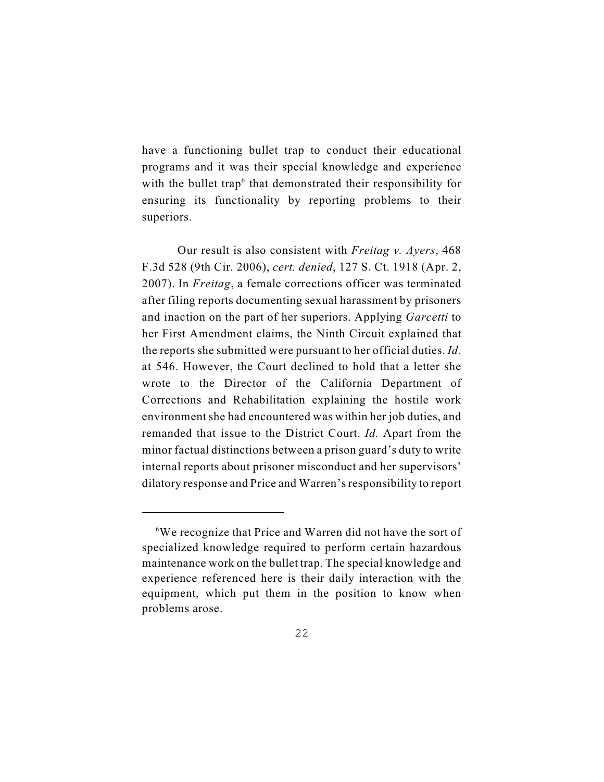have a functioning bullet trap to conduct their educational programs and it was their special knowledge and experience with the bullet trap<sup> $6$ </sup> that demonstrated their responsibility for ensuring its functionality by reporting problems to their superiors.

Our result is also consistent with *Freitag v. Ayers*, 468 F.3d 528 (9th Cir. 2006), *cert. denied*, 127 S. Ct. 1918 (Apr. 2, 2007). In *Freitag*, a female corrections officer was terminated after filing reports documenting sexual harassment by prisoners and inaction on the part of her superiors. Applying *Garcetti* to her First Amendment claims, the Ninth Circuit explained that the reports she submitted were pursuant to her official duties. *Id.* at 546. However, the Court declined to hold that a letter she wrote to the Director of the California Department of Corrections and Rehabilitation explaining the hostile work environment she had encountered was within her job duties, and remanded that issue to the District Court. *Id.* Apart from the minor factual distinctions between a prison guard's duty to write internal reports about prisoner misconduct and her supervisors' dilatory response and Price and Warren's responsibility to report

 ${}^{6}$ We recognize that Price and Warren did not have the sort of specialized knowledge required to perform certain hazardous maintenance work on the bullet trap. The special knowledge and experience referenced here is their daily interaction with the equipment, which put them in the position to know when problems arose.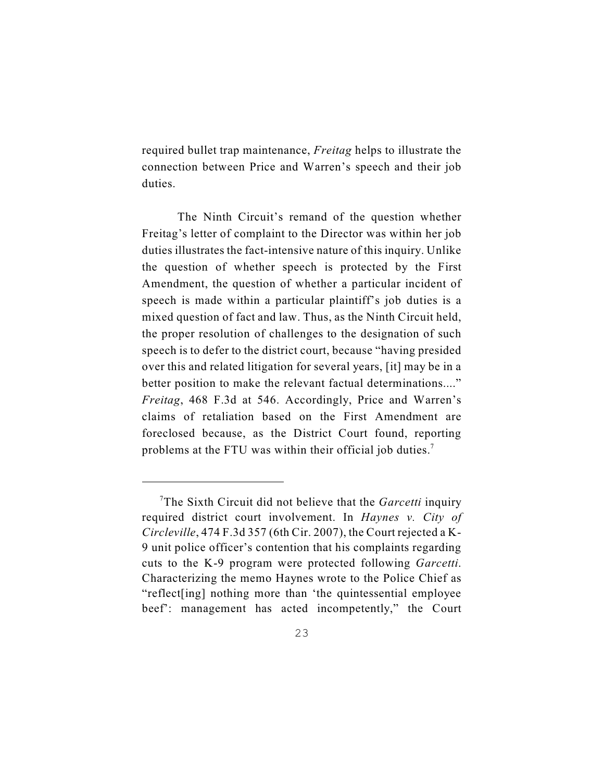required bullet trap maintenance, *Freitag* helps to illustrate the connection between Price and Warren's speech and their job duties.

The Ninth Circuit's remand of the question whether Freitag's letter of complaint to the Director was within her job duties illustrates the fact-intensive nature of this inquiry. Unlike the question of whether speech is protected by the First Amendment, the question of whether a particular incident of speech is made within a particular plaintiff's job duties is a mixed question of fact and law. Thus, as the Ninth Circuit held, the proper resolution of challenges to the designation of such speech is to defer to the district court, because "having presided over this and related litigation for several years, [it] may be in a better position to make the relevant factual determinations...." *Freitag*, 468 F.3d at 546. Accordingly, Price and Warren's claims of retaliation based on the First Amendment are foreclosed because, as the District Court found, reporting problems at the FTU was within their official job duties.<sup>7</sup>

<sup>&</sup>lt;sup>7</sup>The Sixth Circuit did not believe that the *Garcetti* inquiry required district court involvement. In *Haynes v. City of Circleville*, 474 F.3d 357 (6th Cir. 2007), the Court rejected a K-9 unit police officer's contention that his complaints regarding cuts to the K-9 program were protected following *Garcetti*. Characterizing the memo Haynes wrote to the Police Chief as "reflect[ing] nothing more than 'the quintessential employee beef': management has acted incompetently," the Court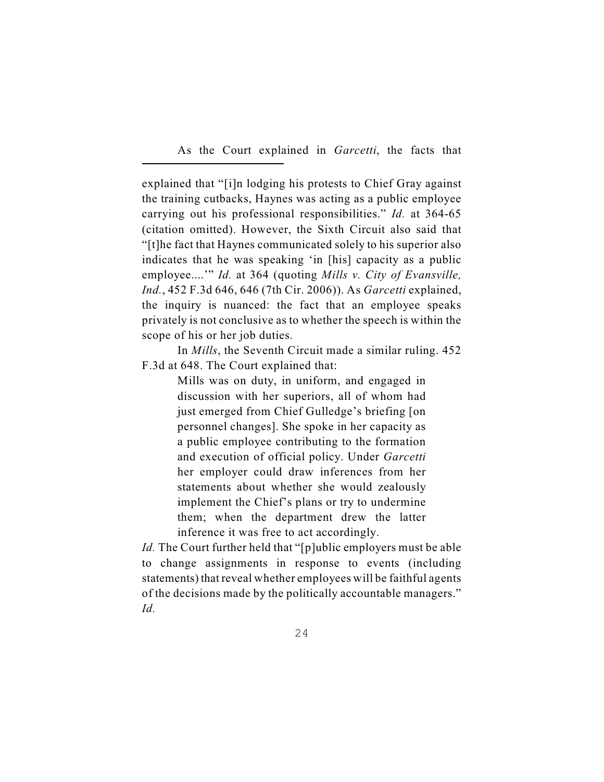As the Court explained in *Garcetti*, the facts that

explained that "[i]n lodging his protests to Chief Gray against the training cutbacks, Haynes was acting as a public employee carrying out his professional responsibilities." *Id.* at 364-65 (citation omitted). However, the Sixth Circuit also said that "[t]he fact that Haynes communicated solely to his superior also indicates that he was speaking 'in [his] capacity as a public employee....'" *Id.* at 364 (quoting *Mills v. City of Evansville, Ind.*, 452 F.3d 646, 646 (7th Cir. 2006)). As *Garcetti* explained, the inquiry is nuanced: the fact that an employee speaks privately is not conclusive as to whether the speech is within the scope of his or her job duties.

In *Mills*, the Seventh Circuit made a similar ruling. 452 F.3d at 648. The Court explained that:

> Mills was on duty, in uniform, and engaged in discussion with her superiors, all of whom had just emerged from Chief Gulledge's briefing [on personnel changes]. She spoke in her capacity as a public employee contributing to the formation and execution of official policy. Under *Garcetti* her employer could draw inferences from her statements about whether she would zealously implement the Chief's plans or try to undermine them; when the department drew the latter inference it was free to act accordingly.

*Id.* The Court further held that "[p]ublic employers must be able to change assignments in response to events (including statements) that reveal whether employees will be faithful agents of the decisions made by the politically accountable managers." *Id.*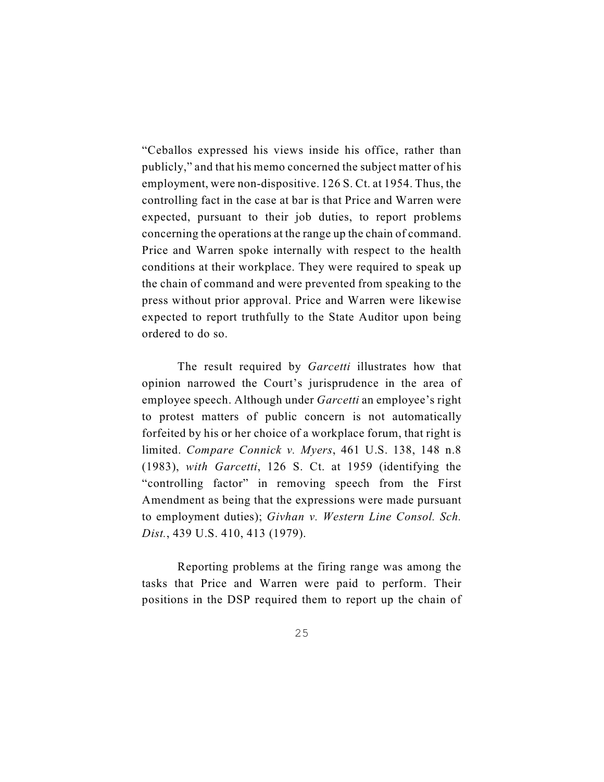"Ceballos expressed his views inside his office, rather than publicly," and that his memo concerned the subject matter of his employment, were non-dispositive. 126 S. Ct. at 1954. Thus, the controlling fact in the case at bar is that Price and Warren were expected, pursuant to their job duties, to report problems concerning the operations at the range up the chain of command. Price and Warren spoke internally with respect to the health conditions at their workplace. They were required to speak up the chain of command and were prevented from speaking to the press without prior approval. Price and Warren were likewise expected to report truthfully to the State Auditor upon being ordered to do so.

The result required by *Garcetti* illustrates how that opinion narrowed the Court's jurisprudence in the area of employee speech. Although under *Garcetti* an employee's right to protest matters of public concern is not automatically forfeited by his or her choice of a workplace forum, that right is limited. *Compare Connick v. Myers*, 461 U.S. 138, 148 n.8 (1983), *with Garcetti*, 126 S. Ct. at 1959 (identifying the "controlling factor" in removing speech from the First Amendment as being that the expressions were made pursuant to employment duties); *Givhan v. Western Line Consol. Sch. Dist.*, 439 U.S. 410, 413 (1979).

Reporting problems at the firing range was among the tasks that Price and Warren were paid to perform. Their positions in the DSP required them to report up the chain of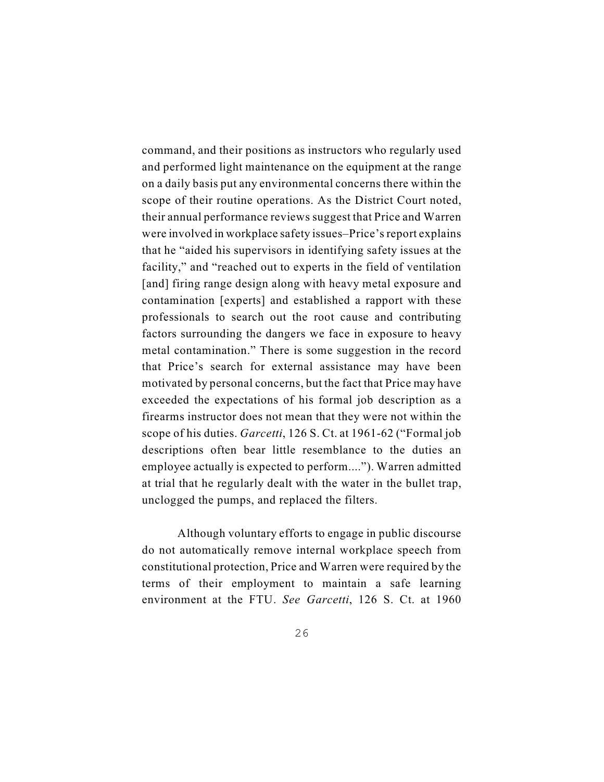command, and their positions as instructors who regularly used and performed light maintenance on the equipment at the range on a daily basis put any environmental concerns there within the scope of their routine operations. As the District Court noted, their annual performance reviews suggest that Price and Warren were involved in workplace safety issues–Price's report explains that he "aided his supervisors in identifying safety issues at the facility," and "reached out to experts in the field of ventilation [and] firing range design along with heavy metal exposure and contamination [experts] and established a rapport with these professionals to search out the root cause and contributing factors surrounding the dangers we face in exposure to heavy metal contamination." There is some suggestion in the record that Price's search for external assistance may have been motivated by personal concerns, but the fact that Price may have exceeded the expectations of his formal job description as a firearms instructor does not mean that they were not within the scope of his duties. *Garcetti*, 126 S. Ct. at 1961-62 ("Formal job descriptions often bear little resemblance to the duties an employee actually is expected to perform...."). Warren admitted at trial that he regularly dealt with the water in the bullet trap, unclogged the pumps, and replaced the filters.

Although voluntary efforts to engage in public discourse do not automatically remove internal workplace speech from constitutional protection, Price and Warren were required by the terms of their employment to maintain a safe learning environment at the FTU. *See Garcetti*, 126 S. Ct. at 1960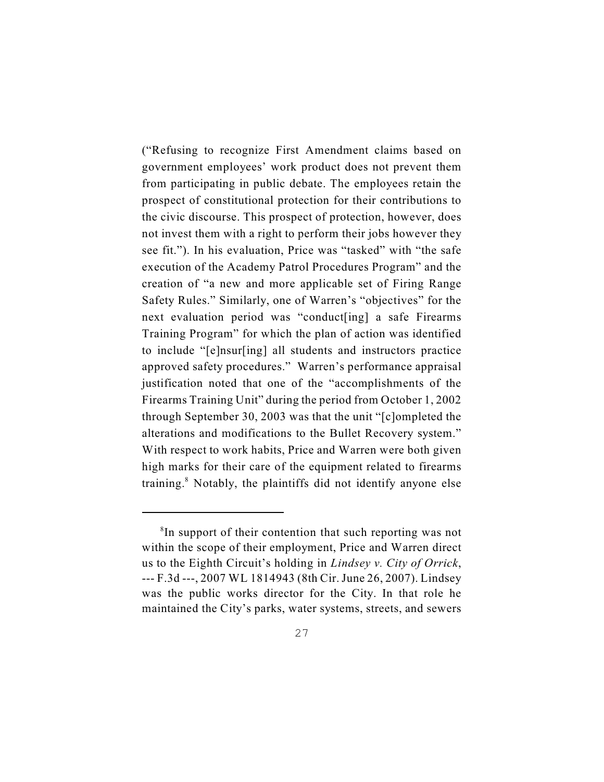("Refusing to recognize First Amendment claims based on government employees' work product does not prevent them from participating in public debate. The employees retain the prospect of constitutional protection for their contributions to the civic discourse. This prospect of protection, however, does not invest them with a right to perform their jobs however they see fit."). In his evaluation, Price was "tasked" with "the safe execution of the Academy Patrol Procedures Program" and the creation of "a new and more applicable set of Firing Range Safety Rules." Similarly, one of Warren's "objectives" for the next evaluation period was "conduct[ing] a safe Firearms Training Program" for which the plan of action was identified to include "[e]nsur[ing] all students and instructors practice approved safety procedures." Warren's performance appraisal justification noted that one of the "accomplishments of the Firearms Training Unit" during the period from October 1, 2002 through September 30, 2003 was that the unit "[c]ompleted the alterations and modifications to the Bullet Recovery system." With respect to work habits, Price and Warren were both given high marks for their care of the equipment related to firearms training.<sup>8</sup> Notably, the plaintiffs did not identify anyone else

 ${}^{8}$ In support of their contention that such reporting was not within the scope of their employment, Price and Warren direct us to the Eighth Circuit's holding in *Lindsey v. City of Orrick*, --- F.3d ---, 2007 WL 1814943 (8th Cir. June 26, 2007). Lindsey was the public works director for the City. In that role he maintained the City's parks, water systems, streets, and sewers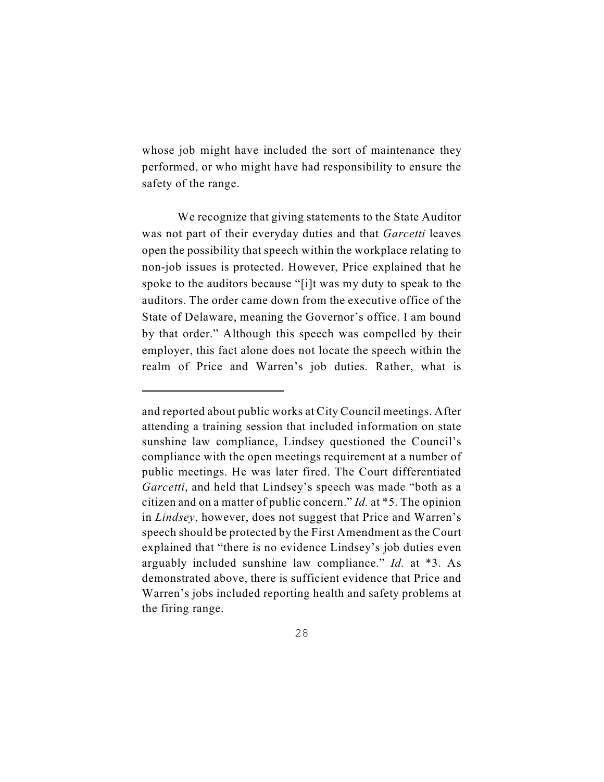whose job might have included the sort of maintenance they performed, or who might have had responsibility to ensure the safety of the range.

We recognize that giving statements to the State Auditor was not part of their everyday duties and that *Garcetti* leaves open the possibility that speech within the workplace relating to non-job issues is protected. However, Price explained that he spoke to the auditors because "[i]t was my duty to speak to the auditors. The order came down from the executive office of the State of Delaware, meaning the Governor's office. I am bound by that order." Although this speech was compelled by their employer, this fact alone does not locate the speech within the realm of Price and Warren's job duties. Rather, what is

and reported about public works at City Council meetings. After attending a training session that included information on state sunshine law compliance, Lindsey questioned the Council's compliance with the open meetings requirement at a number of public meetings. He was later fired. The Court differentiated *Garcetti*, and held that Lindsey's speech was made "both as a citizen and on a matter of public concern." *Id.* at \*5. The opinion in *Lindsey*, however, does not suggest that Price and Warren's speech should be protected by the First Amendment as the Court explained that "there is no evidence Lindsey's job duties even arguably included sunshine law compliance." *Id.* at \*3. As demonstrated above, there is sufficient evidence that Price and Warren's jobs included reporting health and safety problems at the firing range.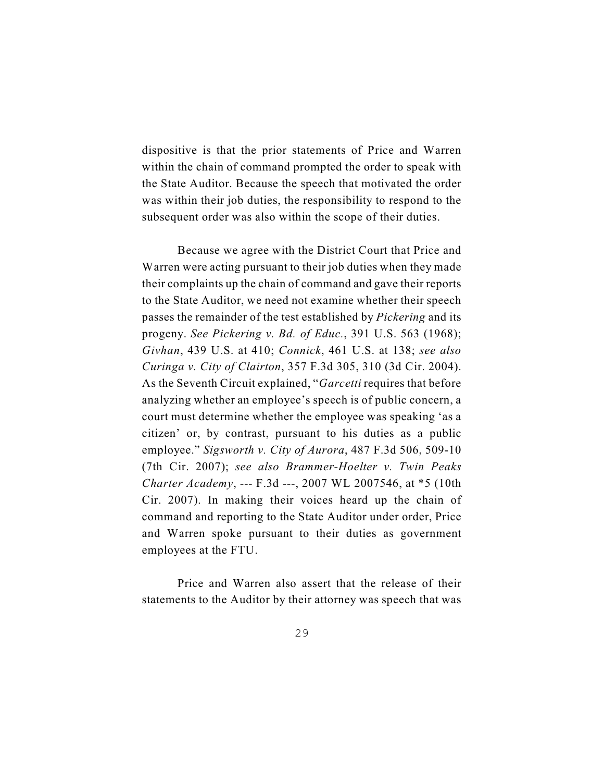dispositive is that the prior statements of Price and Warren within the chain of command prompted the order to speak with the State Auditor. Because the speech that motivated the order was within their job duties, the responsibility to respond to the subsequent order was also within the scope of their duties.

Because we agree with the District Court that Price and Warren were acting pursuant to their job duties when they made their complaints up the chain of command and gave their reports to the State Auditor, we need not examine whether their speech passes the remainder of the test established by *Pickering* and its progeny. *See Pickering v. Bd. of Educ.*, 391 U.S. 563 (1968); *Givhan*, 439 U.S. at 410; *Connick*, 461 U.S. at 138; *see also Curinga v. City of Clairton*, 357 F.3d 305, 310 (3d Cir. 2004). As the Seventh Circuit explained, "*Garcetti* requires that before analyzing whether an employee's speech is of public concern, a court must determine whether the employee was speaking 'as a citizen' or, by contrast, pursuant to his duties as a public employee." *Sigsworth v. City of Aurora*, 487 F.3d 506, 509-10 (7th Cir. 2007); *see also Brammer-Hoelter v. Twin Peaks Charter Academy*, --- F.3d ---, 2007 WL 2007546, at \*5 (10th Cir. 2007). In making their voices heard up the chain of command and reporting to the State Auditor under order, Price and Warren spoke pursuant to their duties as government employees at the FTU.

Price and Warren also assert that the release of their statements to the Auditor by their attorney was speech that was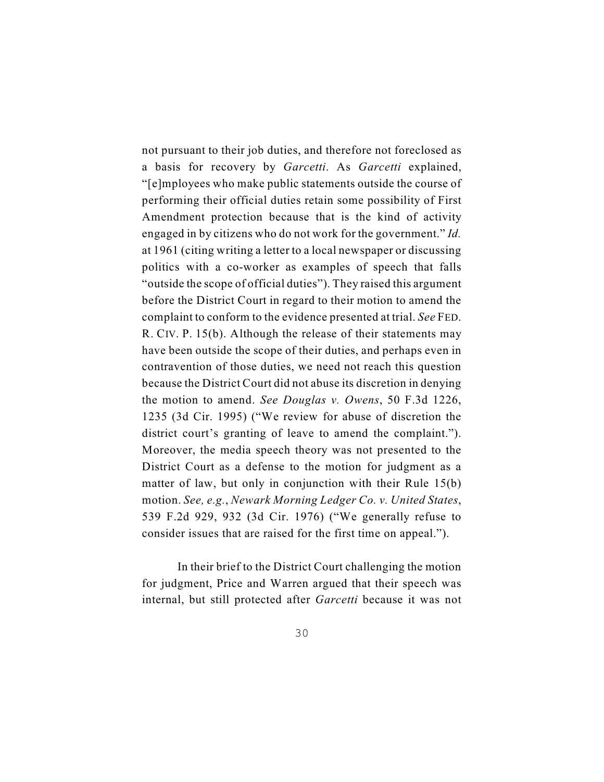not pursuant to their job duties, and therefore not foreclosed as a basis for recovery by *Garcetti*. As *Garcetti* explained, "[e]mployees who make public statements outside the course of performing their official duties retain some possibility of First Amendment protection because that is the kind of activity engaged in by citizens who do not work for the government." *Id.* at 1961 (citing writing a letter to a local newspaper or discussing politics with a co-worker as examples of speech that falls "outside the scope of official duties"). They raised this argument before the District Court in regard to their motion to amend the complaint to conform to the evidence presented at trial. *See* FED. R. CIV. P. 15(b). Although the release of their statements may have been outside the scope of their duties, and perhaps even in contravention of those duties, we need not reach this question because the District Court did not abuse its discretion in denying the motion to amend. *See Douglas v. Owens*, 50 F.3d 1226, 1235 (3d Cir. 1995) ("We review for abuse of discretion the district court's granting of leave to amend the complaint."). Moreover, the media speech theory was not presented to the District Court as a defense to the motion for judgment as a matter of law, but only in conjunction with their Rule 15(b) motion. *See, e.g.*, *Newark Morning Ledger Co. v. United States*, 539 F.2d 929, 932 (3d Cir. 1976) ("We generally refuse to consider issues that are raised for the first time on appeal.").

In their brief to the District Court challenging the motion for judgment, Price and Warren argued that their speech was internal, but still protected after *Garcetti* because it was not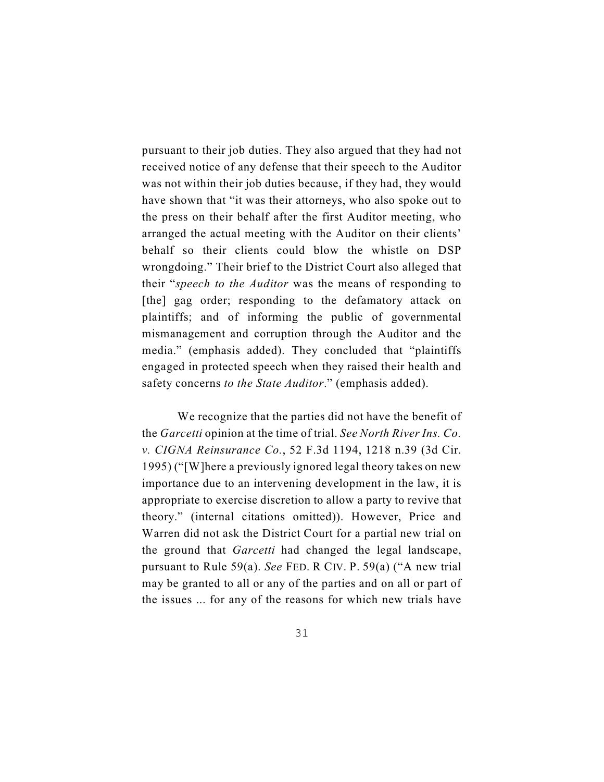pursuant to their job duties. They also argued that they had not received notice of any defense that their speech to the Auditor was not within their job duties because, if they had, they would have shown that "it was their attorneys, who also spoke out to the press on their behalf after the first Auditor meeting, who arranged the actual meeting with the Auditor on their clients' behalf so their clients could blow the whistle on DSP wrongdoing." Their brief to the District Court also alleged that their "*speech to the Auditor* was the means of responding to [the] gag order; responding to the defamatory attack on plaintiffs; and of informing the public of governmental mismanagement and corruption through the Auditor and the media." (emphasis added). They concluded that "plaintiffs engaged in protected speech when they raised their health and safety concerns *to the State Auditor*." (emphasis added).

We recognize that the parties did not have the benefit of the *Garcetti* opinion at the time of trial. *See North River Ins. Co. v. CIGNA Reinsurance Co.*, 52 F.3d 1194, 1218 n.39 (3d Cir. 1995) ("[W]here a previously ignored legal theory takes on new importance due to an intervening development in the law, it is appropriate to exercise discretion to allow a party to revive that theory." (internal citations omitted)). However, Price and Warren did not ask the District Court for a partial new trial on the ground that *Garcetti* had changed the legal landscape, pursuant to Rule 59(a). *See* FED. R CIV. P. 59(a) ("A new trial may be granted to all or any of the parties and on all or part of the issues ... for any of the reasons for which new trials have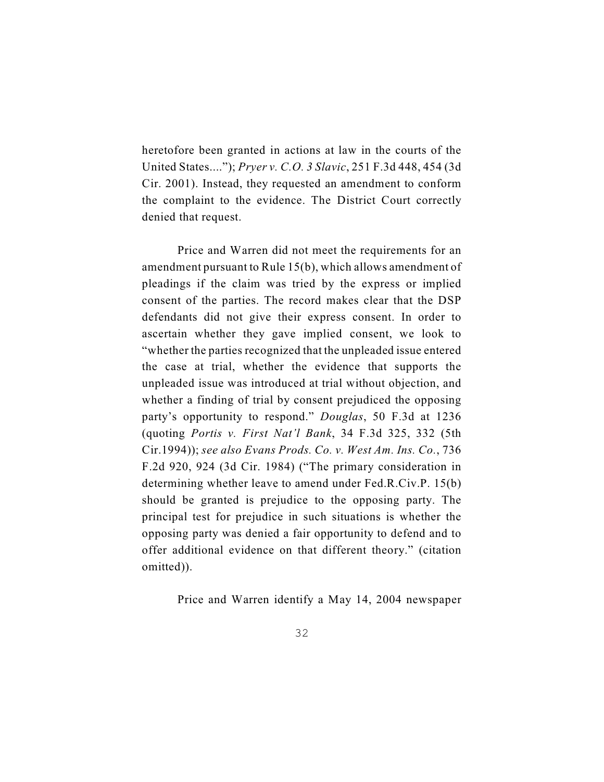heretofore been granted in actions at law in the courts of the United States...."); *Pryer v. C.O. 3 Slavic*, 251 F.3d 448, 454 (3d Cir. 2001). Instead, they requested an amendment to conform the complaint to the evidence. The District Court correctly denied that request.

Price and Warren did not meet the requirements for an amendment pursuant to Rule 15(b), which allows amendment of pleadings if the claim was tried by the express or implied consent of the parties. The record makes clear that the DSP defendants did not give their express consent. In order to ascertain whether they gave implied consent, we look to "whether the parties recognized that the unpleaded issue entered the case at trial, whether the evidence that supports the unpleaded issue was introduced at trial without objection, and whether a finding of trial by consent prejudiced the opposing party's opportunity to respond." *Douglas*, 50 F.3d at 1236 (quoting *Portis v. First Nat'l Bank*, 34 F.3d 325, 332 (5th Cir.1994)); *see also Evans Prods. Co. v. West Am. Ins. Co.*, 736 F.2d 920, 924 (3d Cir. 1984) ("The primary consideration in determining whether leave to amend under Fed.R.Civ.P. 15(b) should be granted is prejudice to the opposing party. The principal test for prejudice in such situations is whether the opposing party was denied a fair opportunity to defend and to offer additional evidence on that different theory." (citation omitted)).

Price and Warren identify a May 14, 2004 newspaper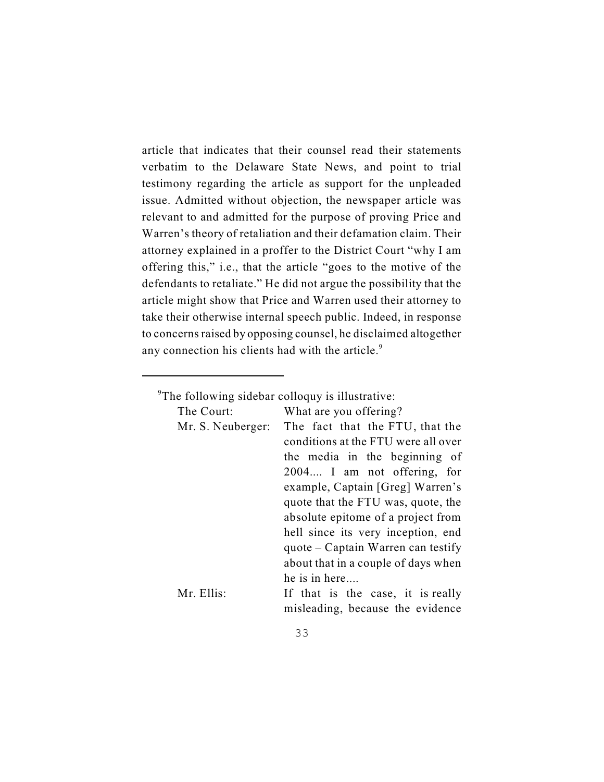article that indicates that their counsel read their statements verbatim to the Delaware State News, and point to trial testimony regarding the article as support for the unpleaded issue. Admitted without objection, the newspaper article was relevant to and admitted for the purpose of proving Price and Warren's theory of retaliation and their defamation claim. Their attorney explained in a proffer to the District Court "why I am offering this," i.e., that the article "goes to the motive of the defendants to retaliate." He did not argue the possibility that the article might show that Price and Warren used their attorney to take their otherwise internal speech public. Indeed, in response to concerns raised by opposing counsel, he disclaimed altogether any connection his clients had with the article.<sup>9</sup>

 $^9$ The following sidebar colloquy is illustrative:

|  |  | What are you offering? |  |
|--|--|------------------------|--|
|  |  |                        |  |

| The Court:        | What are you offering?                           |
|-------------------|--------------------------------------------------|
| Mr. S. Neuberger: | The fact that the FTU, that the                  |
|                   | conditions at the FTU were all over              |
|                   | the media in the beginning of                    |
|                   | 2004 I am not offering, for                      |
|                   | example, Captain [Greg] Warren's                 |
|                   | quote that the FTU was, quote, the               |
|                   | absolute epitome of a project from               |
|                   | hell since its very inception, end               |
|                   | $\frac{1}{2}$ quote – Captain Warren can testify |
|                   | about that in a couple of days when              |
|                   | he is in here                                    |
| Mr. Ellis:        | If that is the case, it is really                |
|                   | misleading, because the evidence                 |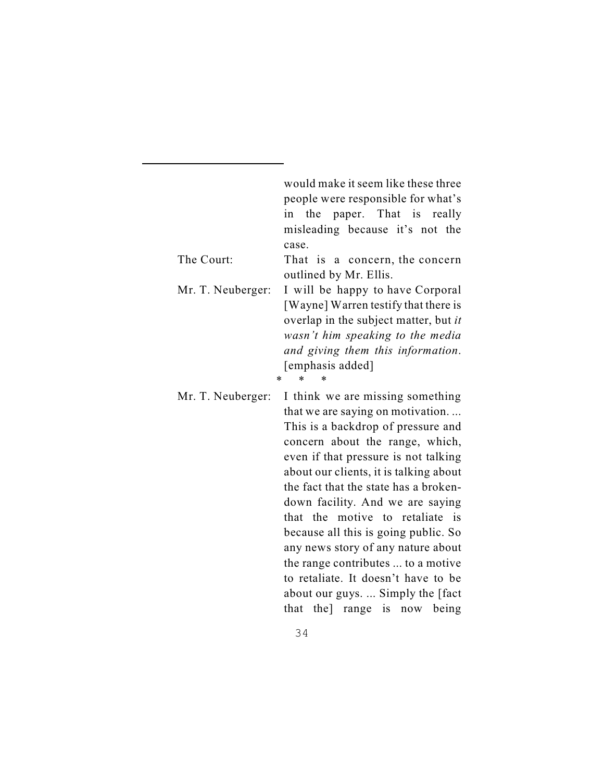|                   | would make it seem like these three<br>people were responsible for what's                                                                                                                                                                                                                                                                                                                                                                                                                                                                                                        |
|-------------------|----------------------------------------------------------------------------------------------------------------------------------------------------------------------------------------------------------------------------------------------------------------------------------------------------------------------------------------------------------------------------------------------------------------------------------------------------------------------------------------------------------------------------------------------------------------------------------|
|                   | in the paper. That is really<br>misleading because it's not the<br>case.                                                                                                                                                                                                                                                                                                                                                                                                                                                                                                         |
| The Court:        | That is a concern, the concern<br>outlined by Mr. Ellis.                                                                                                                                                                                                                                                                                                                                                                                                                                                                                                                         |
| Mr. T. Neuberger: | I will be happy to have Corporal<br>[Wayne] Warren testify that there is<br>overlap in the subject matter, but it<br>wasn't him speaking to the media<br>and giving them this information.<br>[emphasis added]<br>$\ast$<br>$\ast$<br>*                                                                                                                                                                                                                                                                                                                                          |
| Mr. T. Neuberger: | I think we are missing something<br>that we are saying on motivation<br>This is a backdrop of pressure and<br>concern about the range, which,<br>even if that pressure is not talking<br>about our clients, it is talking about<br>the fact that the state has a broken-<br>down facility. And we are saying<br>that the motive to retaliate is<br>because all this is going public. So<br>any news story of any nature about<br>the range contributes  to a motive<br>to retaliate. It doesn't have to be<br>about our guys.  Simply the [fact]<br>that the] range is now being |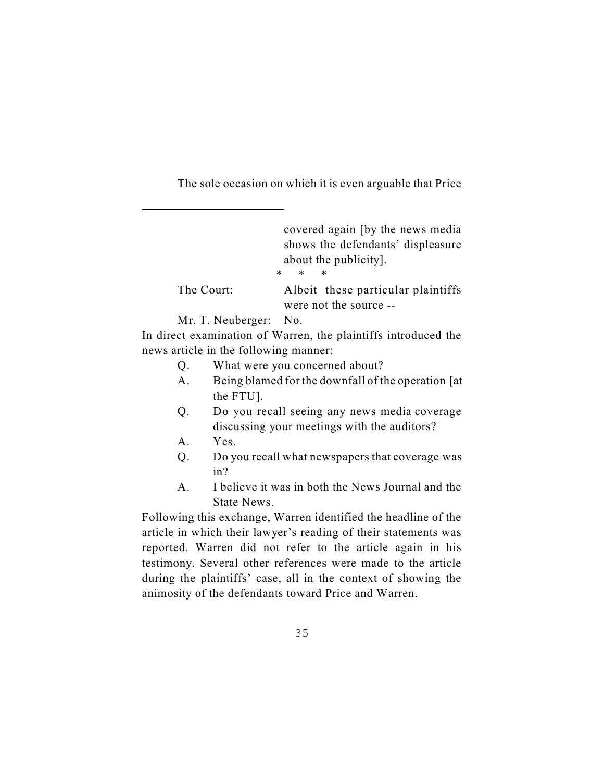The sole occasion on which it is even arguable that Price

|                       | covered again (by the news media<br>shows the defendants' displeasure<br>about the publicity.<br>$\ast$<br>$\ast$<br>$\ast$ |
|-----------------------|-----------------------------------------------------------------------------------------------------------------------------|
| The Court:            | Albeit these particular plaintiffs                                                                                          |
|                       | were not the source --                                                                                                      |
| Mr. T. Neuberger: No. |                                                                                                                             |

In direct examination of Warren, the plaintiffs introduced the news article in the following manner:

- Q. What were you concerned about?
- A. Being blamed for the downfall of the operation [at the FTU].
- Q. Do you recall seeing any news media coverage discussing your meetings with the auditors?
- A. Yes.
- Q. Do you recall what newspapers that coverage was in?
- A. I believe it was in both the News Journal and the State News.

Following this exchange, Warren identified the headline of the article in which their lawyer's reading of their statements was reported. Warren did not refer to the article again in his testimony. Several other references were made to the article during the plaintiffs' case, all in the context of showing the animosity of the defendants toward Price and Warren.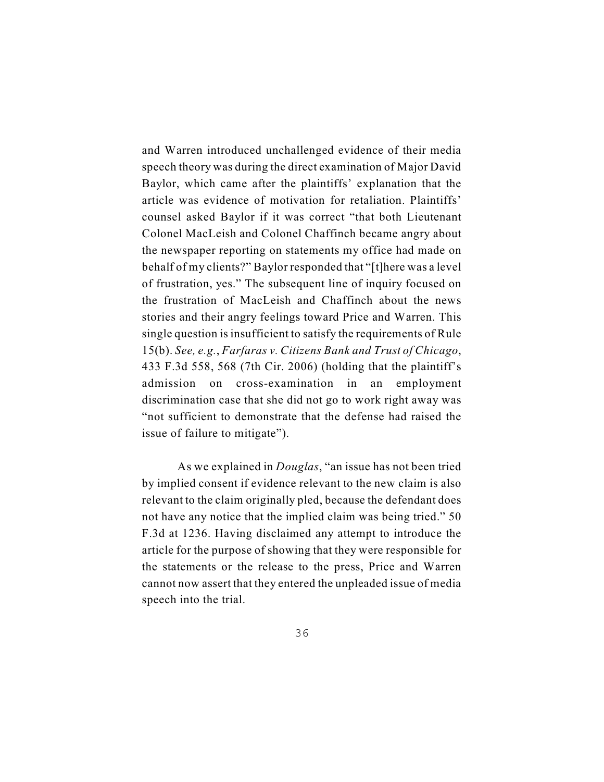and Warren introduced unchallenged evidence of their media speech theory was during the direct examination of Major David Baylor, which came after the plaintiffs' explanation that the article was evidence of motivation for retaliation. Plaintiffs' counsel asked Baylor if it was correct "that both Lieutenant Colonel MacLeish and Colonel Chaffinch became angry about the newspaper reporting on statements my office had made on behalf of my clients?" Baylor responded that "[t]here was a level of frustration, yes." The subsequent line of inquiry focused on the frustration of MacLeish and Chaffinch about the news stories and their angry feelings toward Price and Warren. This single question is insufficient to satisfy the requirements of Rule 15(b). *See, e.g.*, *Farfaras v. Citizens Bank and Trust of Chicago*, 433 F.3d 558, 568 (7th Cir. 2006) (holding that the plaintiff's admission on cross-examination in an employment discrimination case that she did not go to work right away was "not sufficient to demonstrate that the defense had raised the issue of failure to mitigate").

As we explained in *Douglas*, "an issue has not been tried by implied consent if evidence relevant to the new claim is also relevant to the claim originally pled, because the defendant does not have any notice that the implied claim was being tried." 50 F.3d at 1236. Having disclaimed any attempt to introduce the article for the purpose of showing that they were responsible for the statements or the release to the press, Price and Warren cannot now assert that they entered the unpleaded issue of media speech into the trial.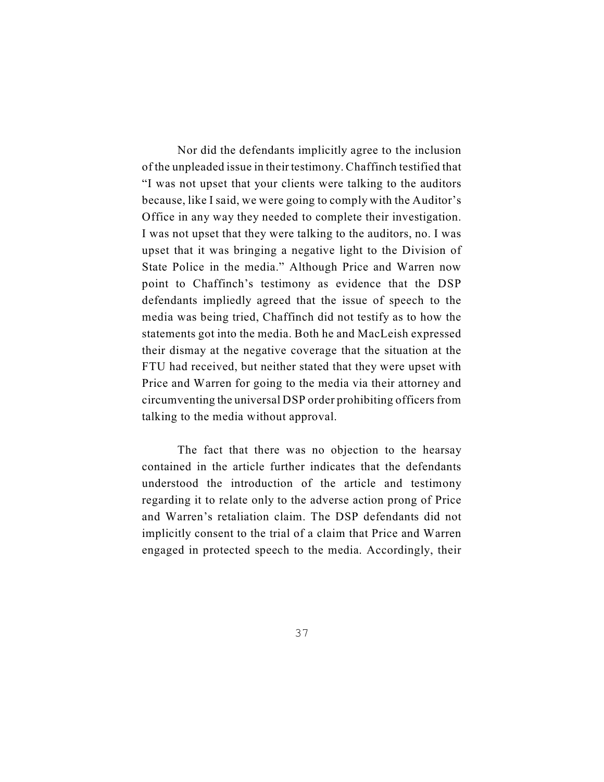Nor did the defendants implicitly agree to the inclusion of the unpleaded issue in their testimony. Chaffinch testified that "I was not upset that your clients were talking to the auditors because, like I said, we were going to comply with the Auditor's Office in any way they needed to complete their investigation. I was not upset that they were talking to the auditors, no. I was upset that it was bringing a negative light to the Division of State Police in the media." Although Price and Warren now point to Chaffinch's testimony as evidence that the DSP defendants impliedly agreed that the issue of speech to the media was being tried, Chaffinch did not testify as to how the statements got into the media. Both he and MacLeish expressed their dismay at the negative coverage that the situation at the FTU had received, but neither stated that they were upset with Price and Warren for going to the media via their attorney and circumventing the universal DSP order prohibiting officers from talking to the media without approval.

The fact that there was no objection to the hearsay contained in the article further indicates that the defendants understood the introduction of the article and testimony regarding it to relate only to the adverse action prong of Price and Warren's retaliation claim. The DSP defendants did not implicitly consent to the trial of a claim that Price and Warren engaged in protected speech to the media. Accordingly, their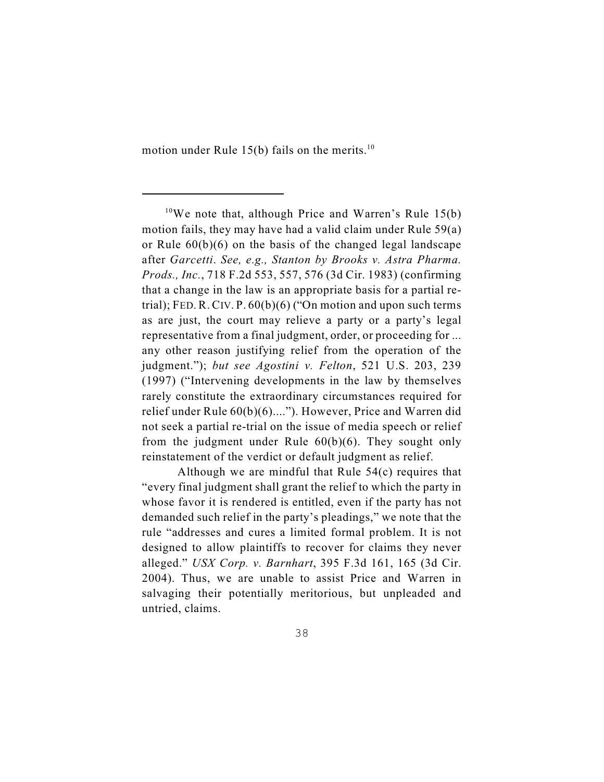motion under Rule 15(b) fails on the merits.<sup>10</sup>

Although we are mindful that Rule 54(c) requires that "every final judgment shall grant the relief to which the party in whose favor it is rendered is entitled, even if the party has not demanded such relief in the party's pleadings," we note that the rule "addresses and cures a limited formal problem. It is not designed to allow plaintiffs to recover for claims they never alleged." *USX Corp. v. Barnhart*, 395 F.3d 161, 165 (3d Cir. 2004). Thus, we are unable to assist Price and Warren in salvaging their potentially meritorious, but unpleaded and untried, claims.

<sup>&</sup>lt;sup>10</sup>We note that, although Price and Warren's Rule 15(b) motion fails, they may have had a valid claim under Rule 59(a) or Rule 60(b)(6) on the basis of the changed legal landscape after *Garcetti*. *See, e.g., Stanton by Brooks v. Astra Pharma. Prods., Inc.*, 718 F.2d 553, 557, 576 (3d Cir. 1983) (confirming that a change in the law is an appropriate basis for a partial retrial); FED. R. CIV. P. 60(b)(6) ("On motion and upon such terms as are just, the court may relieve a party or a party's legal representative from a final judgment, order, or proceeding for ... any other reason justifying relief from the operation of the judgment."); *but see Agostini v. Felton*, 521 U.S. 203, 239 (1997) ("Intervening developments in the law by themselves rarely constitute the extraordinary circumstances required for relief under Rule 60(b)(6)...."). However, Price and Warren did not seek a partial re-trial on the issue of media speech or relief from the judgment under Rule 60(b)(6). They sought only reinstatement of the verdict or default judgment as relief.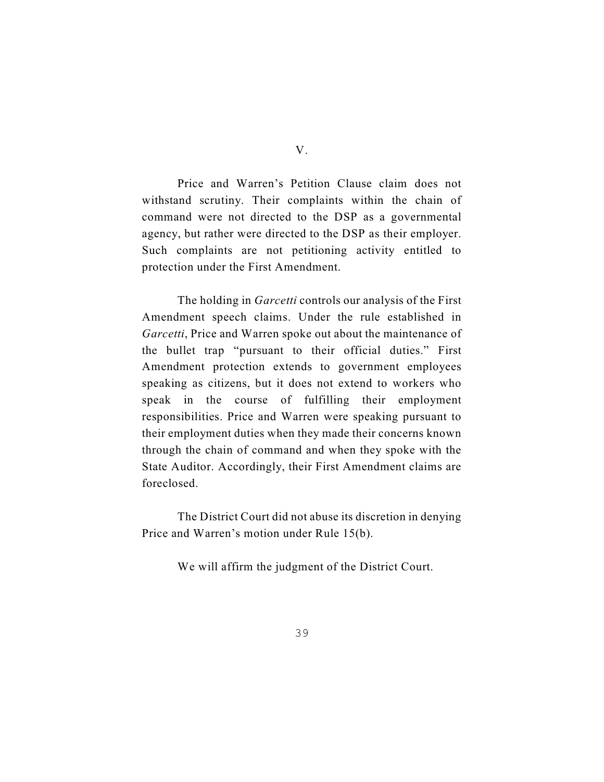Price and Warren's Petition Clause claim does not withstand scrutiny. Their complaints within the chain of command were not directed to the DSP as a governmental agency, but rather were directed to the DSP as their employer. Such complaints are not petitioning activity entitled to protection under the First Amendment.

The holding in *Garcetti* controls our analysis of the First Amendment speech claims. Under the rule established in *Garcetti*, Price and Warren spoke out about the maintenance of the bullet trap "pursuant to their official duties." First Amendment protection extends to government employees speaking as citizens, but it does not extend to workers who speak in the course of fulfilling their employment responsibilities. Price and Warren were speaking pursuant to their employment duties when they made their concerns known through the chain of command and when they spoke with the State Auditor. Accordingly, their First Amendment claims are foreclosed.

The District Court did not abuse its discretion in denying Price and Warren's motion under Rule 15(b).

We will affirm the judgment of the District Court.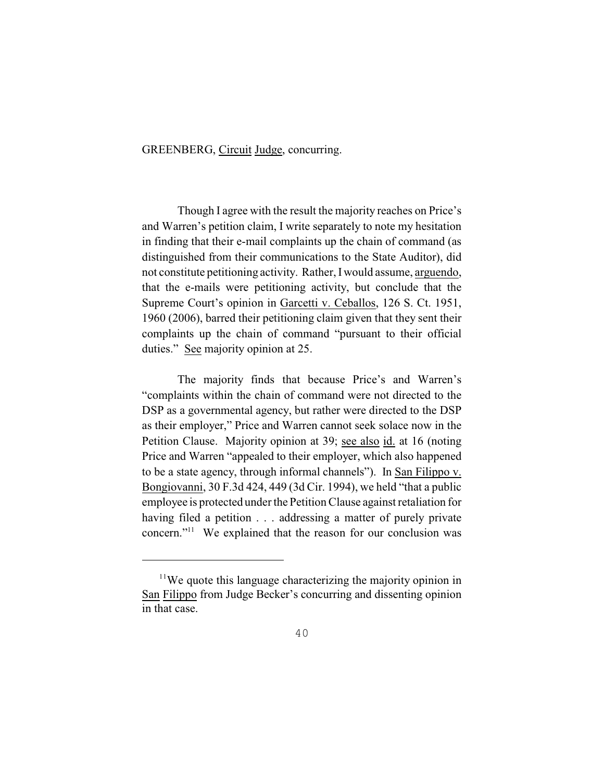GREENBERG, Circuit Judge, concurring.

Though I agree with the result the majority reaches on Price's and Warren's petition claim, I write separately to note my hesitation in finding that their e-mail complaints up the chain of command (as distinguished from their communications to the State Auditor), did not constitute petitioning activity. Rather, I would assume, arguendo, that the e-mails were petitioning activity, but conclude that the Supreme Court's opinion in Garcetti v. Ceballos, 126 S. Ct. 1951, 1960 (2006), barred their petitioning claim given that they sent their complaints up the chain of command "pursuant to their official duties." See majority opinion at 25.

The majority finds that because Price's and Warren's "complaints within the chain of command were not directed to the DSP as a governmental agency, but rather were directed to the DSP as their employer," Price and Warren cannot seek solace now in the Petition Clause. Majority opinion at 39; see also id. at 16 (noting Price and Warren "appealed to their employer, which also happened to be a state agency, through informal channels"). In San Filippo v. Bongiovanni, 30 F.3d 424, 449 (3d Cir. 1994), we held "that a public employee is protected under the Petition Clause against retaliation for having filed a petition . . . addressing a matter of purely private concern."<sup>11</sup> We explained that the reason for our conclusion was

 $11$ We quote this language characterizing the majority opinion in San Filippo from Judge Becker's concurring and dissenting opinion in that case.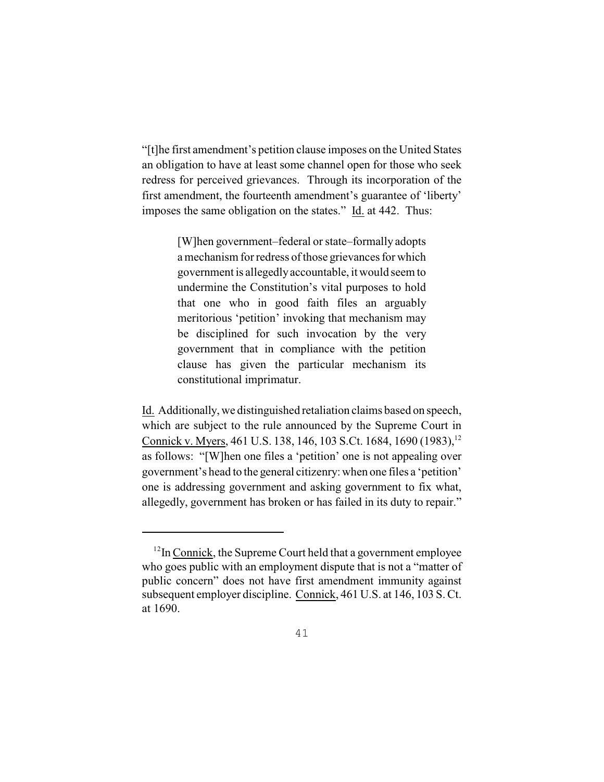"[t]he first amendment's petition clause imposes on the United States an obligation to have at least some channel open for those who seek redress for perceived grievances. Through its incorporation of the first amendment, the fourteenth amendment's guarantee of 'liberty' imposes the same obligation on the states." Id. at 442. Thus:

> [W]hen government–federal or state–formally adopts a mechanism for redress of those grievances for which government is allegedly accountable, it would seem to undermine the Constitution's vital purposes to hold that one who in good faith files an arguably meritorious 'petition' invoking that mechanism may be disciplined for such invocation by the very government that in compliance with the petition clause has given the particular mechanism its constitutional imprimatur.

Id. Additionally, we distinguished retaliation claims based on speech, which are subject to the rule announced by the Supreme Court in Connick v. Myers, 461 U.S. 138, 146, 103 S.Ct. 1684, 1690 (1983), <sup>12</sup> as follows: "[W]hen one files a 'petition' one is not appealing over government's head to the general citizenry: when one files a 'petition' one is addressing government and asking government to fix what, allegedly, government has broken or has failed in its duty to repair."

 $12$ In Connick, the Supreme Court held that a government employee who goes public with an employment dispute that is not a "matter of public concern" does not have first amendment immunity against subsequent employer discipline. Connick, 461 U.S. at 146, 103 S. Ct. at 1690.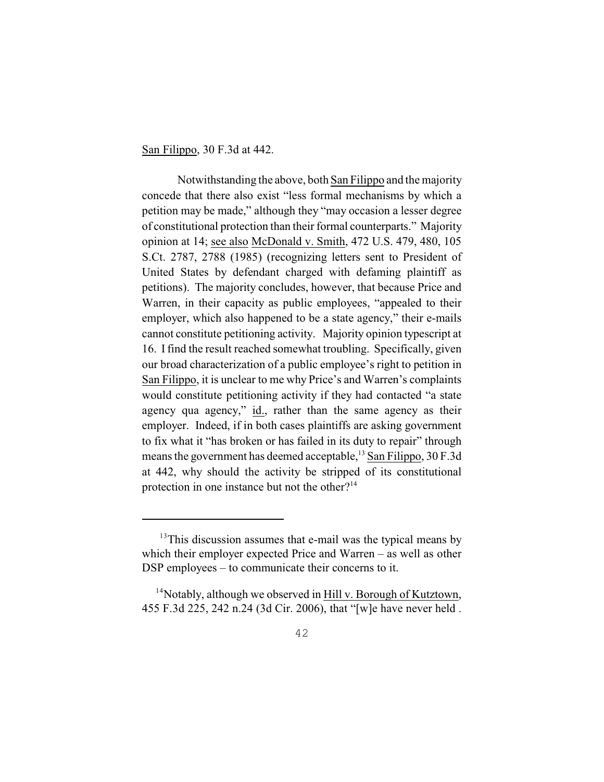San Filippo, 30 F.3d at 442.

Notwithstanding the above, both San Filippo and the majority concede that there also exist "less formal mechanisms by which a petition may be made," although they "may occasion a lesser degree of constitutional protection than their formal counterparts." Majority opinion at 14; see also McDonald v. Smith, 472 U.S. 479, 480, 105 S.Ct. 2787, 2788 (1985) (recognizing letters sent to President of United States by defendant charged with defaming plaintiff as petitions). The majority concludes, however, that because Price and Warren, in their capacity as public employees, "appealed to their employer, which also happened to be a state agency," their e-mails cannot constitute petitioning activity. Majority opinion typescript at 16. I find the result reached somewhat troubling. Specifically, given our broad characterization of a public employee's right to petition in San Filippo, it is unclear to me why Price's and Warren's complaints would constitute petitioning activity if they had contacted "a state agency qua agency," id., rather than the same agency as their employer. Indeed, if in both cases plaintiffs are asking government to fix what it "has broken or has failed in its duty to repair" through means the government has deemed acceptable,  $^{13}$  San Filippo, 30 F.3d at 442, why should the activity be stripped of its constitutional protection in one instance but not the other?<sup>14</sup>

 $13$ This discussion assumes that e-mail was the typical means by which their employer expected Price and Warren – as well as other DSP employees – to communicate their concerns to it.

 $14$ Notably, although we observed in Hill v. Borough of Kutztown, 455 F.3d 225, 242 n.24 (3d Cir. 2006), that "[w]e have never held .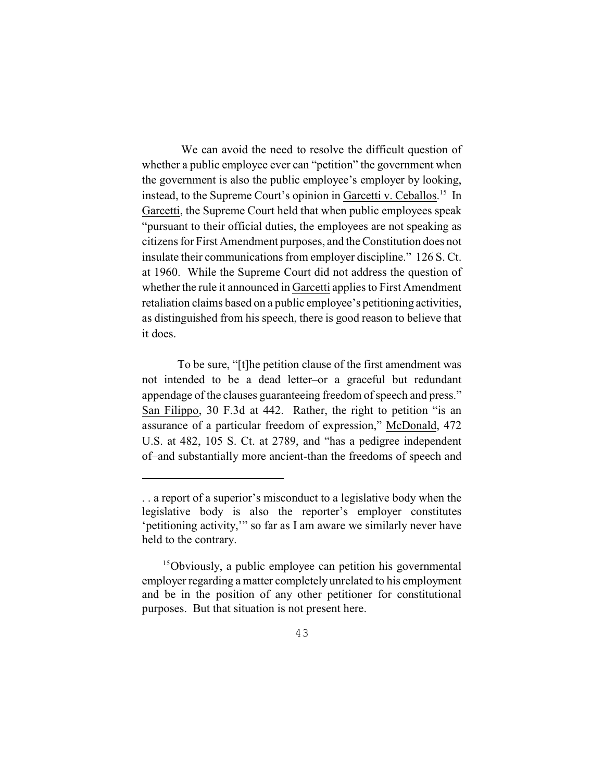We can avoid the need to resolve the difficult question of whether a public employee ever can "petition" the government when the government is also the public employee's employer by looking, instead, to the Supreme Court's opinion in Garcetti v. Ceballos.<sup>15</sup> In Garcetti, the Supreme Court held that when public employees speak "pursuant to their official duties, the employees are not speaking as citizens for First Amendment purposes, and the Constitution does not insulate their communications from employer discipline." 126 S. Ct. at 1960. While the Supreme Court did not address the question of whether the rule it announced in Garcetti applies to First Amendment retaliation claims based on a public employee's petitioning activities, as distinguished from his speech, there is good reason to believe that it does.

To be sure, "[t]he petition clause of the first amendment was not intended to be a dead letter–or a graceful but redundant appendage of the clauses guaranteeing freedom of speech and press." San Filippo, 30 F.3d at 442. Rather, the right to petition "is an assurance of a particular freedom of expression," McDonald, 472 U.S. at 482, 105 S. Ct. at 2789, and "has a pedigree independent of–and substantially more ancient-than the freedoms of speech and

<sup>. .</sup> a report of a superior's misconduct to a legislative body when the legislative body is also the reporter's employer constitutes 'petitioning activity,'" so far as I am aware we similarly never have held to the contrary.

 $15$ Obviously, a public employee can petition his governmental employer regarding a matter completely unrelated to his employment and be in the position of any other petitioner for constitutional purposes. But that situation is not present here.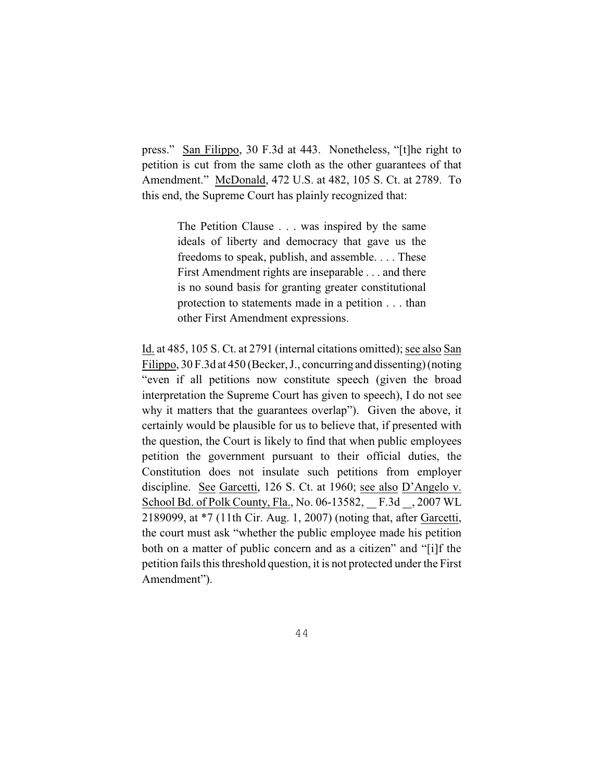press." San Filippo, 30 F.3d at 443. Nonetheless, "[t]he right to petition is cut from the same cloth as the other guarantees of that Amendment." McDonald, 472 U.S. at 482, 105 S. Ct. at 2789. To this end, the Supreme Court has plainly recognized that:

> The Petition Clause . . . was inspired by the same ideals of liberty and democracy that gave us the freedoms to speak, publish, and assemble. . . . These First Amendment rights are inseparable . . . and there is no sound basis for granting greater constitutional protection to statements made in a petition . . . than other First Amendment expressions.

Id. at 485, 105 S. Ct. at 2791 (internal citations omitted); see also San Filippo, 30 F.3d at 450 (Becker, J., concurring and dissenting) (noting "even if all petitions now constitute speech (given the broad interpretation the Supreme Court has given to speech), I do not see why it matters that the guarantees overlap"). Given the above, it certainly would be plausible for us to believe that, if presented with the question, the Court is likely to find that when public employees petition the government pursuant to their official duties, the Constitution does not insulate such petitions from employer discipline. See Garcetti, 126 S. Ct. at 1960; see also D'Angelo v. School Bd. of Polk County, Fla., No. 06-13582, F.3d , 2007 WL 2189099, at \*7 (11th Cir. Aug. 1, 2007) (noting that, after Garcetti, the court must ask "whether the public employee made his petition both on a matter of public concern and as a citizen" and "[i]f the petition fails this threshold question, it is not protected under the First Amendment").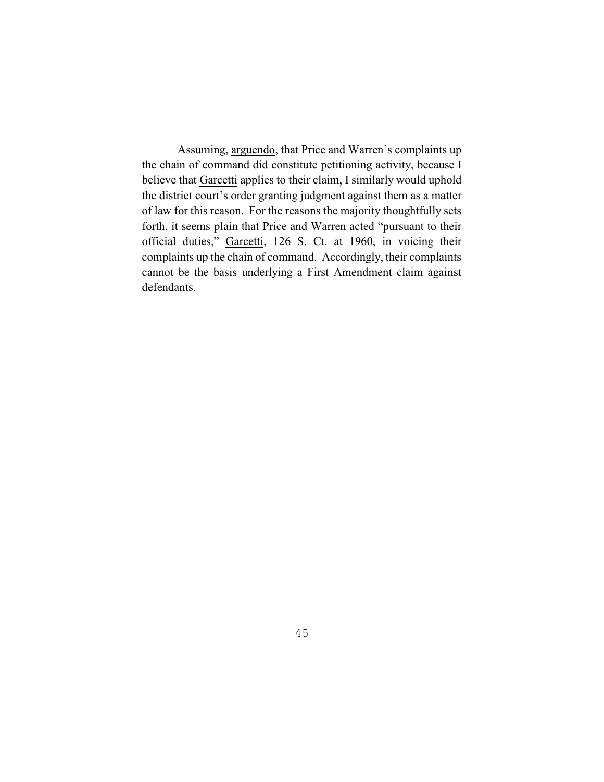Assuming, arguendo, that Price and Warren's complaints up the chain of command did constitute petitioning activity, because I believe that Garcetti applies to their claim, I similarly would uphold the district court's order granting judgment against them as a matter of law for this reason. For the reasons the majority thoughtfully sets forth, it seems plain that Price and Warren acted "pursuant to their official duties," Garcetti, 126 S. Ct. at 1960, in voicing their complaints up the chain of command. Accordingly, their complaints cannot be the basis underlying a First Amendment claim against defendants.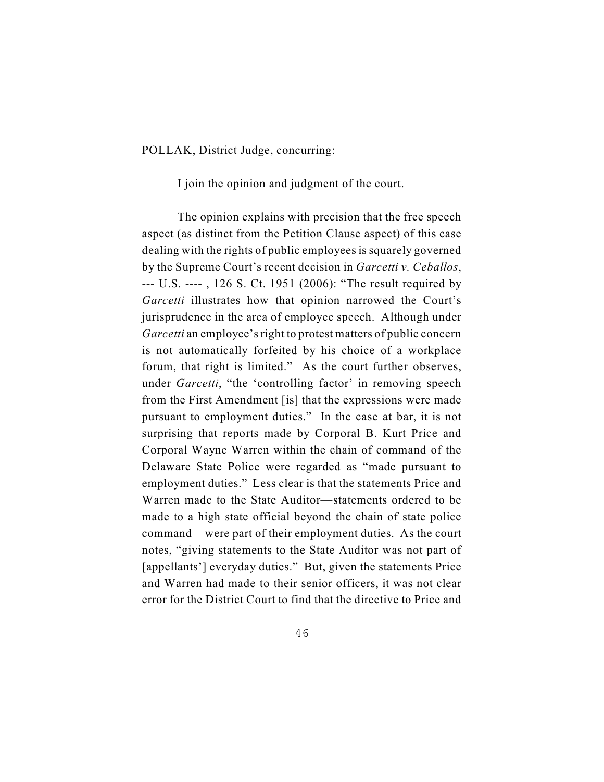POLLAK, District Judge, concurring:

I join the opinion and judgment of the court.

The opinion explains with precision that the free speech aspect (as distinct from the Petition Clause aspect) of this case dealing with the rights of public employees is squarely governed by the Supreme Court's recent decision in *Garcetti v. Ceballos*, --- U.S. ---- , 126 S. Ct. 1951 (2006): "The result required by *Garcetti* illustrates how that opinion narrowed the Court's jurisprudence in the area of employee speech. Although under *Garcetti* an employee's right to protest matters of public concern is not automatically forfeited by his choice of a workplace forum, that right is limited." As the court further observes, under *Garcetti*, "the 'controlling factor' in removing speech from the First Amendment [is] that the expressions were made pursuant to employment duties." In the case at bar, it is not surprising that reports made by Corporal B. Kurt Price and Corporal Wayne Warren within the chain of command of the Delaware State Police were regarded as "made pursuant to employment duties." Less clear is that the statements Price and Warren made to the State Auditor—statements ordered to be made to a high state official beyond the chain of state police command—were part of their employment duties. As the court notes, "giving statements to the State Auditor was not part of [appellants'] everyday duties." But, given the statements Price and Warren had made to their senior officers, it was not clear error for the District Court to find that the directive to Price and